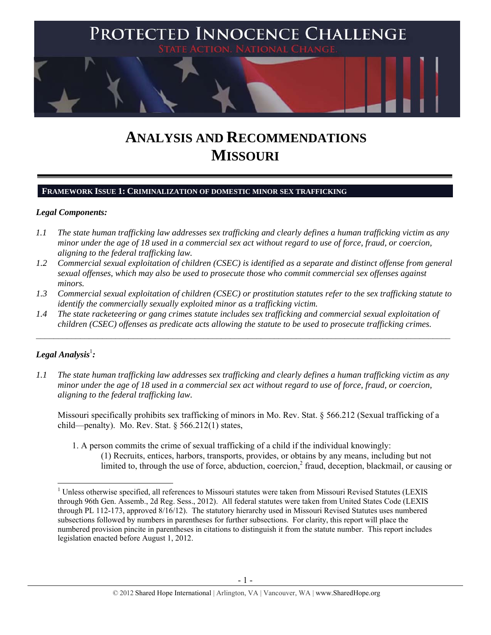

# **ANALYSIS AND RECOMMENDATIONS MISSOURI**

# **FRAMEWORK ISSUE 1: CRIMINALIZATION OF DOMESTIC MINOR SEX TRAFFICKING**

## *Legal Components:*

- *1.1 The state human trafficking law addresses sex trafficking and clearly defines a human trafficking victim as any minor under the age of 18 used in a commercial sex act without regard to use of force, fraud, or coercion, aligning to the federal trafficking law.*
- *1.2 Commercial sexual exploitation of children (CSEC) is identified as a separate and distinct offense from general sexual offenses, which may also be used to prosecute those who commit commercial sex offenses against minors.*
- *1.3 Commercial sexual exploitation of children (CSEC) or prostitution statutes refer to the sex trafficking statute to identify the commercially sexually exploited minor as a trafficking victim.*

 $\mathcal{L}_\mathcal{L} = \{ \mathcal{L}_\mathcal{L} = \{ \mathcal{L}_\mathcal{L} = \{ \mathcal{L}_\mathcal{L} = \{ \mathcal{L}_\mathcal{L} = \{ \mathcal{L}_\mathcal{L} = \{ \mathcal{L}_\mathcal{L} = \{ \mathcal{L}_\mathcal{L} = \{ \mathcal{L}_\mathcal{L} = \{ \mathcal{L}_\mathcal{L} = \{ \mathcal{L}_\mathcal{L} = \{ \mathcal{L}_\mathcal{L} = \{ \mathcal{L}_\mathcal{L} = \{ \mathcal{L}_\mathcal{L} = \{ \mathcal{L}_\mathcal{$ 

*1.4 The state racketeering or gang crimes statute includes sex trafficking and commercial sexual exploitation of children (CSEC) offenses as predicate acts allowing the statute to be used to prosecute trafficking crimes.* 

# ${\it Legal Analysis^!}$  :

*1.1 The state human trafficking law addresses sex trafficking and clearly defines a human trafficking victim as any minor under the age of 18 used in a commercial sex act without regard to use of force, fraud, or coercion, aligning to the federal trafficking law.*

Missouri specifically prohibits sex trafficking of minors in Mo. Rev. Stat. § 566.212 (Sexual trafficking of a child—penalty). Mo. Rev. Stat.  $\delta$  566.212(1) states,

1. A person commits the crime of sexual trafficking of a child if the individual knowingly: (1) Recruits, entices, harbors, transports, provides, or obtains by any means, including but not limited to, through the use of force, abduction, coercion,<sup>2</sup> fraud, deception, blackmail, or causing or

 <sup>1</sup> Unless otherwise specified, all references to Missouri statutes were taken from Missouri Revised Statutes (LEXIS through 96th Gen. Assemb., 2d Reg. Sess., 2012). All federal statutes were taken from United States Code (LEXIS through PL 112-173, approved 8/16/12). The statutory hierarchy used in Missouri Revised Statutes uses numbered subsections followed by numbers in parentheses for further subsections. For clarity, this report will place the numbered provision pincite in parentheses in citations to distinguish it from the statute number. This report includes legislation enacted before August 1, 2012.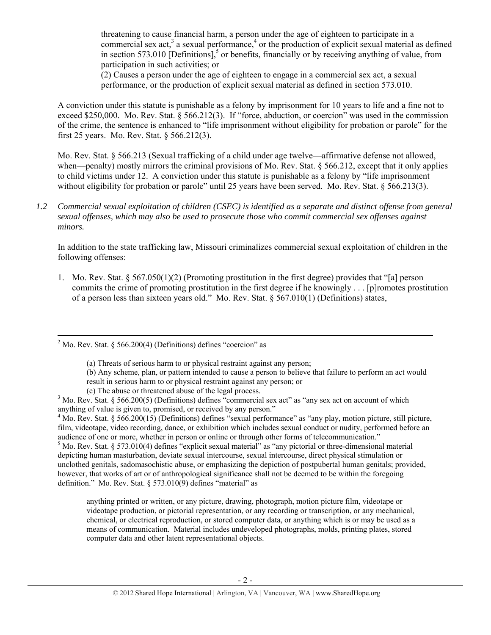threatening to cause financial harm, a person under the age of eighteen to participate in a commercial sex act,<sup>3</sup> a sexual performance,<sup>4</sup> or the production of explicit sexual material as defined in section 573.010 [Definitions],<sup>5</sup> or benefits, financially or by receiving anything of value, from participation in such activities; or

(2) Causes a person under the age of eighteen to engage in a commercial sex act, a sexual performance, or the production of explicit sexual material as defined in section 573.010.

A conviction under this statute is punishable as a felony by imprisonment for 10 years to life and a fine not to exceed \$250,000. Mo. Rev. Stat. § 566.212(3). If "force, abduction, or coercion" was used in the commission of the crime, the sentence is enhanced to "life imprisonment without eligibility for probation or parole" for the first 25 years. Mo. Rev. Stat. § 566.212(3).

Mo. Rev. Stat. § 566.213 (Sexual trafficking of a child under age twelve—affirmative defense not allowed, when—penalty) mostly mirrors the criminal provisions of Mo. Rev. Stat. § 566.212, except that it only applies to child victims under 12. A conviction under this statute is punishable as a felony by "life imprisonment without eligibility for probation or parole" until 25 years have been served. Mo. Rev. Stat. § 566.213(3).

*1.2 Commercial sexual exploitation of children (CSEC) is identified as a separate and distinct offense from general sexual offenses, which may also be used to prosecute those who commit commercial sex offenses against minors.*

In addition to the state trafficking law, Missouri criminalizes commercial sexual exploitation of children in the following offenses:

1. Mo. Rev. Stat. § 567.050(1)(2) (Promoting prostitution in the first degree) provides that "[a] person commits the crime of promoting prostitution in the first degree if he knowingly . . . [p]romotes prostitution of a person less than sixteen years old." Mo. Rev. Stat. § 567.010(1) (Definitions) states,

 $<sup>5</sup>$  Mo. Rev. Stat. § 573.010(4) defines "explicit sexual material" as "any pictorial or three-dimensional material</sup> depicting human masturbation, deviate sexual intercourse, sexual intercourse, direct physical stimulation or unclothed genitals, sadomasochistic abuse, or emphasizing the depiction of postpubertal human genitals; provided, however, that works of art or of anthropological significance shall not be deemed to be within the foregoing definition." Mo. Rev. Stat. § 573.010(9) defines "material" as

anything printed or written, or any picture, drawing, photograph, motion picture film, videotape or videotape production, or pictorial representation, or any recording or transcription, or any mechanical, chemical, or electrical reproduction, or stored computer data, or anything which is or may be used as a means of communication. Material includes undeveloped photographs, molds, printing plates, stored computer data and other latent representational objects.

 $2$  Mo. Rev. Stat. § 566.200(4) (Definitions) defines "coercion" as

<sup>(</sup>a) Threats of serious harm to or physical restraint against any person;

<sup>(</sup>b) Any scheme, plan, or pattern intended to cause a person to believe that failure to perform an act would result in serious harm to or physical restraint against any person; or

<sup>(</sup>c) The abuse or threatened abuse of the legal process. 3

 $3$  Mo. Rev. Stat. § 566.200(5) (Definitions) defines "commercial sex act" as "any sex act on account of which anything of value is given to, promised, or received by any person."

 $4 \text{ Mo. Rev. Stat. }$  § 566.200(15) (Definitions) defines "sexual performance" as "any play, motion picture, still picture, film, videotape, video recording, dance, or exhibition which includes sexual conduct or nudity, performed before an audience of one or more, whether in person or online or through other forms of telecommunication."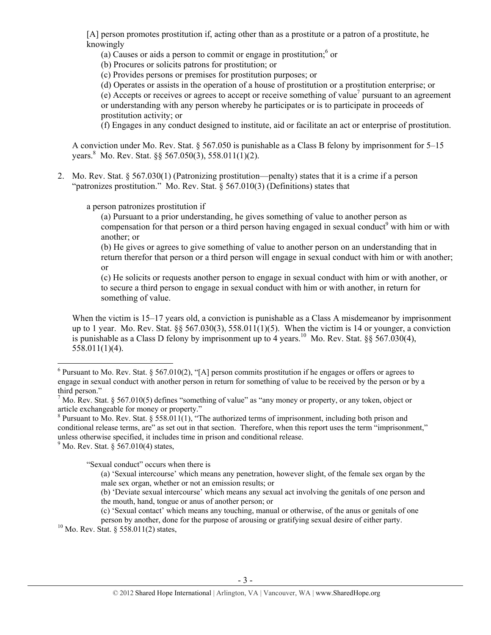[A] person promotes prostitution if, acting other than as a prostitute or a patron of a prostitute, he knowingly

(a) Causes or aids a person to commit or engage in prostitution; $6$  or

(b) Procures or solicits patrons for prostitution; or

(c) Provides persons or premises for prostitution purposes; or

(d) Operates or assists in the operation of a house of prostitution or a prostitution enterprise; or

 $(e)$  Accepts or receives or agrees to accept or receive something of value<sup>7</sup> pursuant to an agreement or understanding with any person whereby he participates or is to participate in proceeds of prostitution activity; or

(f) Engages in any conduct designed to institute, aid or facilitate an act or enterprise of prostitution.

A conviction under Mo. Rev. Stat. § 567.050 is punishable as a Class B felony by imprisonment for 5–15 years. Mo. Rev. Stat. §§ 567.050(3), 558.011(1)(2).

2. Mo. Rev. Stat. § 567.030(1) (Patronizing prostitution—penalty) states that it is a crime if a person "patronizes prostitution." Mo. Rev. Stat. § 567.010(3) (Definitions) states that

a person patronizes prostitution if

(a) Pursuant to a prior understanding, he gives something of value to another person as compensation for that person or a third person having engaged in sexual conduct<sup>9</sup> with him or with another; or

(b) He gives or agrees to give something of value to another person on an understanding that in return therefor that person or a third person will engage in sexual conduct with him or with another; or

(c) He solicits or requests another person to engage in sexual conduct with him or with another, or to secure a third person to engage in sexual conduct with him or with another, in return for something of value.

When the victim is 15–17 years old, a conviction is punishable as a Class A misdemeanor by imprisonment up to 1 year. Mo. Rev. Stat.  $\S_5 567.030(3)$ ,  $558.011(1)(5)$ . When the victim is 14 or younger, a conviction is punishable as a Class D felony by imprisonment up to 4 years.<sup>10</sup> Mo. Rev. Stat.  $\S$ § 567.030(4), 558.011(1)(4).

 $9^9$  Mo. Rev. Stat. § 567.010(4) states,

"Sexual conduct" occurs when there is

person by another, done for the purpose of arousing or gratifying sexual desire of either party. 10 Mo. Rev. Stat. § 558.011(2) states,

  $6$  Pursuant to Mo. Rev. Stat. § 567.010(2), "[A] person commits prostitution if he engages or offers or agrees to engage in sexual conduct with another person in return for something of value to be received by the person or by a third person."

<sup>&</sup>lt;sup>7</sup> Mo. Rev. Stat. § 567.010(5) defines "something of value" as "any money or property, or any token, object or article exchangeable for money or property." 8

 $8$  Pursuant to Mo. Rev. Stat. § 558.011(1), "The authorized terms of imprisonment, including both prison and conditional release terms, are" as set out in that section. Therefore, when this report uses the term "imprisonment," unless otherwise specified, it includes time in prison and conditional release.

<sup>(</sup>a) 'Sexual intercourse' which means any penetration, however slight, of the female sex organ by the male sex organ, whether or not an emission results; or

<sup>(</sup>b) 'Deviate sexual intercourse' which means any sexual act involving the genitals of one person and the mouth, hand, tongue or anus of another person; or

<sup>(</sup>c) 'Sexual contact' which means any touching, manual or otherwise, of the anus or genitals of one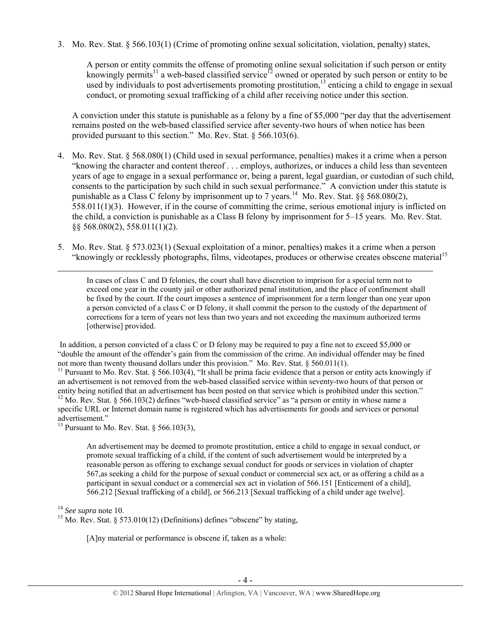3. Mo. Rev. Stat. § 566.103(1) (Crime of promoting online sexual solicitation, violation, penalty) states,

A person or entity commits the offense of promoting online sexual solicitation if such person or entity knowingly permits<sup>11</sup> a web-based classified service<sup>12</sup> owned or operated by such person or entity to be used by individuals to post advertisements promoting prostitution,  $13$  enticing a child to engage in sexual conduct, or promoting sexual trafficking of a child after receiving notice under this section.

A conviction under this statute is punishable as a felony by a fine of \$5,000 "per day that the advertisement remains posted on the web-based classified service after seventy-two hours of when notice has been provided pursuant to this section." Mo. Rev. Stat. § 566.103(6).

- 4. Mo. Rev. Stat. § 568.080(1) (Child used in sexual performance, penalties) makes it a crime when a person "knowing the character and content thereof . . . employs, authorizes, or induces a child less than seventeen years of age to engage in a sexual performance or, being a parent, legal guardian, or custodian of such child, consents to the participation by such child in such sexual performance." A conviction under this statute is punishable as a Class C felony by imprisonment up to 7 years.<sup>14</sup> Mo. Rev. Stat. §§ 568.080(2), 558.011(1)(3). However, if in the course of committing the crime, serious emotional injury is inflicted on the child, a conviction is punishable as a Class B felony by imprisonment for 5–15 years. Mo. Rev. Stat. §§ 568.080(2), 558.011(1)(2).
- 5. Mo. Rev. Stat. § 573.023(1) (Sexual exploitation of a minor, penalties) makes it a crime when a person "knowingly or recklessly photographs, films, videotapes, produces or otherwise creates obscene material<sup>15</sup>

<u> 1989 - Johann Stein, marwolaethau a gweledydd a ganlad y ganlad y ganlad y ganlad y ganlad y ganlad y ganlad</u> In cases of class C and D felonies, the court shall have discretion to imprison for a special term not to exceed one year in the county jail or other authorized penal institution, and the place of confinement shall be fixed by the court. If the court imposes a sentence of imprisonment for a term longer than one year upon a person convicted of a class C or D felony, it shall commit the person to the custody of the department of corrections for a term of years not less than two years and not exceeding the maximum authorized terms [otherwise] provided.

 In addition, a person convicted of a class C or D felony may be required to pay a fine not to exceed \$5,000 or "double the amount of the offender's gain from the commission of the crime. An individual offender may be fined not more than twenty thousand dollars under this provision." Mo. Rev. Stat. § 560.011(1).

<sup>11</sup> Pursuant to Mo. Rev. Stat. § 566.103(4), "It shall be prima facie evidence that a person or entity acts knowingly if an advertisement is not removed from the web-based classified service within seventy-two hours of that person or entity being notified that an advertisement has been posted on that service which is prohibited under this section."<br><sup>12</sup> Mo. Rev. Stat. § 566.103(2) defines "web-based classified service" as "a person or entity in whose n specific URL or Internet domain name is registered which has advertisements for goods and services or personal advertisement."

<sup>13</sup> Pursuant to Mo. Rev. Stat. § 566.103(3),

An advertisement may be deemed to promote prostitution, entice a child to engage in sexual conduct, or promote sexual trafficking of a child, if the content of such advertisement would be interpreted by a reasonable person as offering to exchange sexual conduct for goods or services in violation of chapter 567,as seeking a child for the purpose of sexual conduct or commercial sex act, or as offering a child as a participant in sexual conduct or a commercial sex act in violation of 566.151 [Enticement of a child], 566.212 [Sexual trafficking of a child], or 566.213 [Sexual trafficking of a child under age twelve].

<sup>14</sup> *See supra* note 10. 15 Mo. Rev. Stat. § 573.010(12) (Definitions) defines "obscene" by stating,

[A]ny material or performance is obscene if, taken as a whole: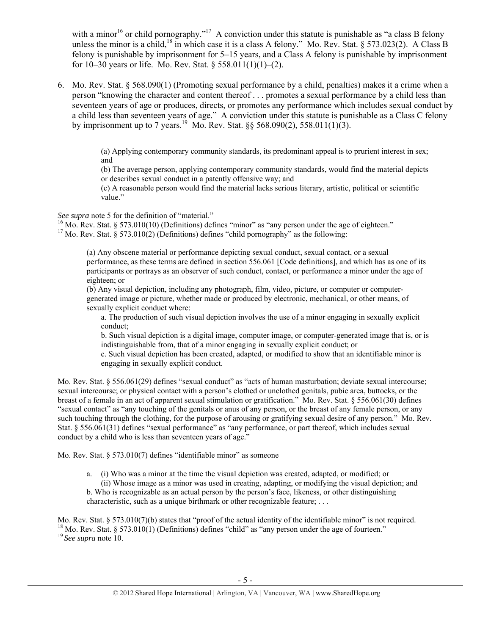with a minor<sup>16</sup> or child pornography."<sup>17</sup> A conviction under this statute is punishable as "a class B felony unless the minor is a child,<sup>18</sup> in which case it is a class A felony." Mo. Rev. Stat. § 573.023(2). A Class B felony is punishable by imprisonment for 5–15 years, and a Class A felony is punishable by imprisonment for  $10-30$  years or life. Mo. Rev. Stat. § 558.011(1)(1)–(2).

6. Mo. Rev. Stat. § 568.090(1) (Promoting sexual performance by a child, penalties) makes it a crime when a person "knowing the character and content thereof . . . promotes a sexual performance by a child less than seventeen years of age or produces, directs, or promotes any performance which includes sexual conduct by a child less than seventeen years of age." A conviction under this statute is punishable as a Class C felony by imprisonment up to 7 years.<sup>19</sup> Mo. Rev. Stat.  $88\,568.090(2)$ , 558.011(1)(3).

<u> 1989 - Johann Stoff, amerikansk politiker (d. 1989)</u>

(a) Applying contemporary community standards, its predominant appeal is to prurient interest in sex; and

(b) The average person, applying contemporary community standards, would find the material depicts or describes sexual conduct in a patently offensive way; and

(c) A reasonable person would find the material lacks serious literary, artistic, political or scientific value."

See supra note 5 for the definition of "material."<br><sup>16</sup> Mo. Rev. Stat. § 573.010(10) (Definitions) defines "minor" as "any person under the age of eighteen."<br><sup>17</sup> Mo. Rev. Stat. § 573.010(2) (Definitions) defines "child p

(a) Any obscene material or performance depicting sexual conduct, sexual contact, or a sexual performance, as these terms are defined in section 556.061 [Code definitions], and which has as one of its participants or portrays as an observer of such conduct, contact, or performance a minor under the age of eighteen; or

(b) Any visual depiction, including any photograph, film, video, picture, or computer or computergenerated image or picture, whether made or produced by electronic, mechanical, or other means, of sexually explicit conduct where:

a. The production of such visual depiction involves the use of a minor engaging in sexually explicit conduct;

b. Such visual depiction is a digital image, computer image, or computer-generated image that is, or is indistinguishable from, that of a minor engaging in sexually explicit conduct; or

c. Such visual depiction has been created, adapted, or modified to show that an identifiable minor is engaging in sexually explicit conduct.

Mo. Rev. Stat. § 556.061(29) defines "sexual conduct" as "acts of human masturbation; deviate sexual intercourse; sexual intercourse; or physical contact with a person's clothed or unclothed genitals, pubic area, buttocks, or the breast of a female in an act of apparent sexual stimulation or gratification." Mo. Rev. Stat. § 556.061(30) defines "sexual contact" as "any touching of the genitals or anus of any person, or the breast of any female person, or any such touching through the clothing, for the purpose of arousing or gratifying sexual desire of any person." Mo. Rev. Stat. § 556.061(31) defines "sexual performance" as "any performance, or part thereof, which includes sexual conduct by a child who is less than seventeen years of age."

Mo. Rev. Stat. § 573.010(7) defines "identifiable minor" as someone

a. (i) Who was a minor at the time the visual depiction was created, adapted, or modified; or

(ii) Whose image as a minor was used in creating, adapting, or modifying the visual depiction; and b. Who is recognizable as an actual person by the person's face, likeness, or other distinguishing characteristic, such as a unique birthmark or other recognizable feature; . . .

Mo. Rev. Stat. § 573.010(7)(b) states that "proof of the actual identity of the identifiable minor" is not required. <sup>18</sup> Mo. Rev. Stat. § 573.010(1) (Definitions) defines "child" as "any person under the age of fourteen. <sup>19</sup>*See supra* note 10.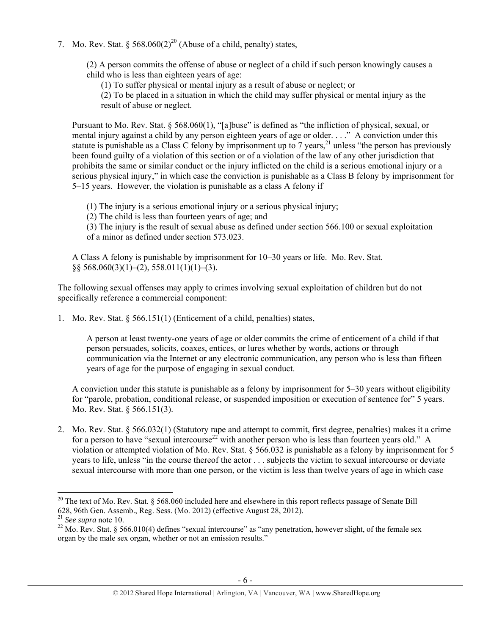7. Mo. Rev. Stat.  $\frac{568.060(2)^{20}}{20}$  (Abuse of a child, penalty) states,

(2) A person commits the offense of abuse or neglect of a child if such person knowingly causes a child who is less than eighteen years of age:

(1) To suffer physical or mental injury as a result of abuse or neglect; or

(2) To be placed in a situation in which the child may suffer physical or mental injury as the result of abuse or neglect.

Pursuant to Mo. Rev. Stat. § 568.060(1), "[a]buse" is defined as "the infliction of physical, sexual, or mental injury against a child by any person eighteen years of age or older. . . ." A conviction under this statute is punishable as a Class C felony by imprisonment up to 7 years,  $21$  unless "the person has previously been found guilty of a violation of this section or of a violation of the law of any other jurisdiction that prohibits the same or similar conduct or the injury inflicted on the child is a serious emotional injury or a serious physical injury," in which case the conviction is punishable as a Class B felony by imprisonment for 5–15 years. However, the violation is punishable as a class A felony if

(1) The injury is a serious emotional injury or a serious physical injury;

(2) The child is less than fourteen years of age; and

(3) The injury is the result of sexual abuse as defined under section 566.100 or sexual exploitation of a minor as defined under section 573.023.

A Class A felony is punishable by imprisonment for 10–30 years or life. Mo. Rev. Stat.  $\S$ § 568.060(3)(1)–(2), 558.011(1)(1)–(3).

The following sexual offenses may apply to crimes involving sexual exploitation of children but do not specifically reference a commercial component:

1. Mo. Rev. Stat. § 566.151(1) (Enticement of a child, penalties) states,

A person at least twenty-one years of age or older commits the crime of enticement of a child if that person persuades, solicits, coaxes, entices, or lures whether by words, actions or through communication via the Internet or any electronic communication, any person who is less than fifteen years of age for the purpose of engaging in sexual conduct.

A conviction under this statute is punishable as a felony by imprisonment for 5–30 years without eligibility for "parole, probation, conditional release, or suspended imposition or execution of sentence for" 5 years. Mo. Rev. Stat. § 566.151(3).

2. Mo. Rev. Stat. § 566.032(1) (Statutory rape and attempt to commit, first degree, penalties) makes it a crime for a person to have "sexual intercourse<sup>22</sup> with another person who is less than fourteen years old." A violation or attempted violation of Mo. Rev. Stat. § 566.032 is punishable as a felony by imprisonment for 5 years to life, unless "in the course thereof the actor . . . subjects the victim to sexual intercourse or deviate sexual intercourse with more than one person, or the victim is less than twelve years of age in which case

 <sup>20</sup> The text of Mo. Rev. Stat. § 568.060 included here and elsewhere in this report reflects passage of Senate Bill 628, 96th Gen. Assemb., Reg. Sess. (Mo. 2012) (effective August 28, 2012).

<sup>&</sup>lt;sup>22</sup> Mo. Rev. Stat. § 566.010(4) defines "sexual intercourse" as "any penetration, however slight, of the female sex organ by the male sex organ, whether or not an emission results."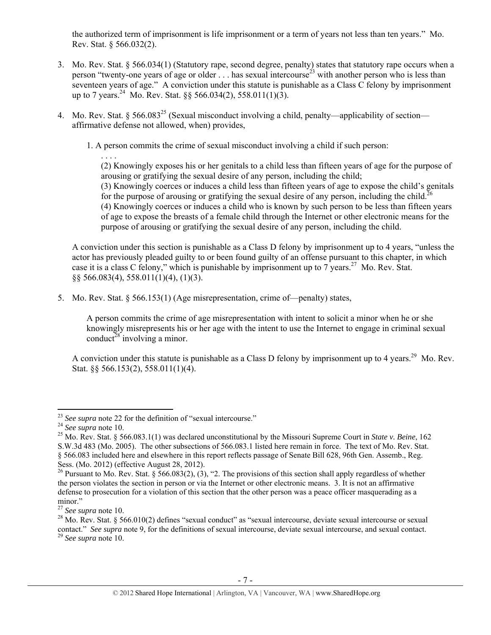the authorized term of imprisonment is life imprisonment or a term of years not less than ten years." Mo. Rev. Stat. § 566.032(2).

- 3. Mo. Rev. Stat. § 566.034(1) (Statutory rape, second degree, penalty) states that statutory rape occurs when a person "twenty-one years of age or older  $\ldots$  has sexual intercourse<sup>23</sup> with another person who is less than seventeen years of age." A conviction under this statute is punishable as a Class C felony by imprisonment up to 7 years.<sup>24</sup> Mo. Rev. Stat. §§ 566.034(2), 558.011(1)(3).
- 4. Mo. Rev. Stat. § 566.083<sup>25</sup> (Sexual misconduct involving a child, penalty—applicability of section affirmative defense not allowed, when) provides,

1. A person commits the crime of sexual misconduct involving a child if such person:

. . . . (2) Knowingly exposes his or her genitals to a child less than fifteen years of age for the purpose of arousing or gratifying the sexual desire of any person, including the child; (3) Knowingly coerces or induces a child less than fifteen years of age to expose the child's genitals for the purpose of arousing or gratifying the sexual desire of any person, including the child.<sup>26</sup> (4) Knowingly coerces or induces a child who is known by such person to be less than fifteen years of age to expose the breasts of a female child through the Internet or other electronic means for the purpose of arousing or gratifying the sexual desire of any person, including the child.

A conviction under this section is punishable as a Class D felony by imprisonment up to 4 years, "unless the actor has previously pleaded guilty to or been found guilty of an offense pursuant to this chapter, in which case it is a class C felony," which is punishable by imprisonment up to  $7 \text{ years.}^{27}$  Mo. Rev. Stat. §§ 566.083(4), 558.011(1)(4), (1)(3).

5. Mo. Rev. Stat. § 566.153(1) (Age misrepresentation, crime of—penalty) states,

A person commits the crime of age misrepresentation with intent to solicit a minor when he or she knowingly misrepresents his or her age with the intent to use the Internet to engage in criminal sexual conduct<sup>28</sup> involving a minor.

A conviction under this statute is punishable as a Class D felony by imprisonment up to 4 years.<sup>29</sup> Mo. Rev. Stat. §§ 566.153(2), 558.011(1)(4).

 $^{23}$  See supra note 22 for the definition of "sexual intercourse."

<sup>&</sup>lt;sup>24</sup> *See supra* note 10.<br><sup>25</sup> Mo. Rev. Stat. § 566.083.1(1) was declared unconstitutional by the Missouri Supreme Court in *State v. Beine*, 162 S.W.3d 483 (Mo. 2005). The other subsections of 566.083.1 listed here remain in force. The text of Mo. Rev. Stat. § 566.083 included here and elsewhere in this report reflects passage of Senate Bill 628, 96th Gen. Assemb., Reg. Sess. (Mo. 2012) (effective August 28, 2012).

<sup>&</sup>lt;sup>26</sup> Pursuant to Mo. Rev. Stat. § 566.083(2), (3), "2. The provisions of this section shall apply regardless of whether the person violates the section in person or via the Internet or other electronic means. 3. It is not an affirmative defense to prosecution for a violation of this section that the other person was a peace officer masquerading as a minor."

<sup>&</sup>lt;sup>27</sup> *See supra* note 10.<br><sup>28</sup> Mo. Rev. Stat. § 566.010(2) defines "sexual conduct" as "sexual intercourse, deviate sexual intercourse or sexual contact." *See supra* note 9, for the definitions of sexual intercourse, deviate sexual intercourse, and sexual contact. <sup>29</sup> *See supra* note 10.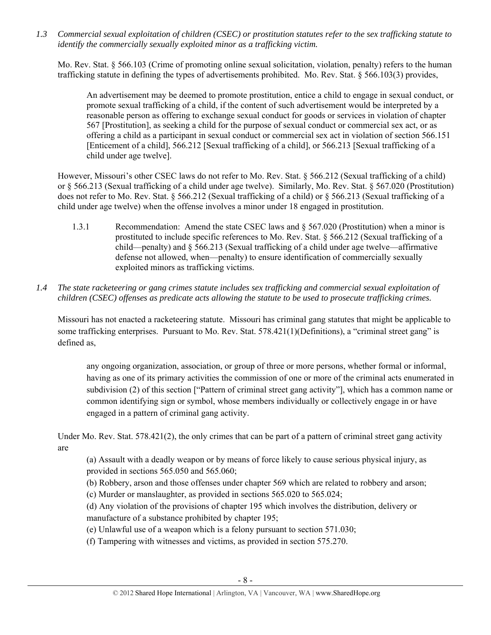*1.3 Commercial sexual exploitation of children (CSEC) or prostitution statutes refer to the sex trafficking statute to identify the commercially sexually exploited minor as a trafficking victim.* 

Mo. Rev. Stat. § 566.103 (Crime of promoting online sexual solicitation, violation, penalty) refers to the human trafficking statute in defining the types of advertisements prohibited. Mo. Rev. Stat. § 566.103(3) provides,

An advertisement may be deemed to promote prostitution, entice a child to engage in sexual conduct, or promote sexual trafficking of a child, if the content of such advertisement would be interpreted by a reasonable person as offering to exchange sexual conduct for goods or services in violation of chapter 567 [Prostitution], as seeking a child for the purpose of sexual conduct or commercial sex act, or as offering a child as a participant in sexual conduct or commercial sex act in violation of section 566.151 [Enticement of a child], 566.212 [Sexual trafficking of a child], or 566.213 [Sexual trafficking of a child under age twelve].

However, Missouri's other CSEC laws do not refer to Mo. Rev. Stat. § 566.212 (Sexual trafficking of a child) or § 566.213 (Sexual trafficking of a child under age twelve). Similarly, Mo. Rev. Stat. § 567.020 (Prostitution) does not refer to Mo. Rev. Stat. § 566.212 (Sexual trafficking of a child) or § 566.213 (Sexual trafficking of a child under age twelve) when the offense involves a minor under 18 engaged in prostitution.

- 1.3.1 Recommendation: Amend the state CSEC laws and § 567.020 (Prostitution) when a minor is prostituted to include specific references to Mo. Rev. Stat. § 566.212 (Sexual trafficking of a child—penalty) and § 566.213 (Sexual trafficking of a child under age twelve—affirmative defense not allowed, when—penalty) to ensure identification of commercially sexually exploited minors as trafficking victims.
- *1.4 The state racketeering or gang crimes statute includes sex trafficking and commercial sexual exploitation of children (CSEC) offenses as predicate acts allowing the statute to be used to prosecute trafficking crimes.*

Missouri has not enacted a racketeering statute. Missouri has criminal gang statutes that might be applicable to some trafficking enterprises. Pursuant to Mo. Rev. Stat. 578.421(1)(Definitions), a "criminal street gang" is defined as,

any ongoing organization, association, or group of three or more persons, whether formal or informal, having as one of its primary activities the commission of one or more of the criminal acts enumerated in subdivision (2) of this section ["Pattern of criminal street gang activity"], which has a common name or common identifying sign or symbol, whose members individually or collectively engage in or have engaged in a pattern of criminal gang activity.

Under Mo. Rev. Stat. 578.421(2), the only crimes that can be part of a pattern of criminal street gang activity are

(a) Assault with a deadly weapon or by means of force likely to cause serious physical injury, as provided in sections 565.050 and 565.060;

(b) Robbery, arson and those offenses under chapter 569 which are related to robbery and arson;

(c) Murder or manslaughter, as provided in sections 565.020 to 565.024;

(d) Any violation of the provisions of chapter 195 which involves the distribution, delivery or manufacture of a substance prohibited by chapter 195;

(e) Unlawful use of a weapon which is a felony pursuant to section 571.030;

(f) Tampering with witnesses and victims, as provided in section 575.270.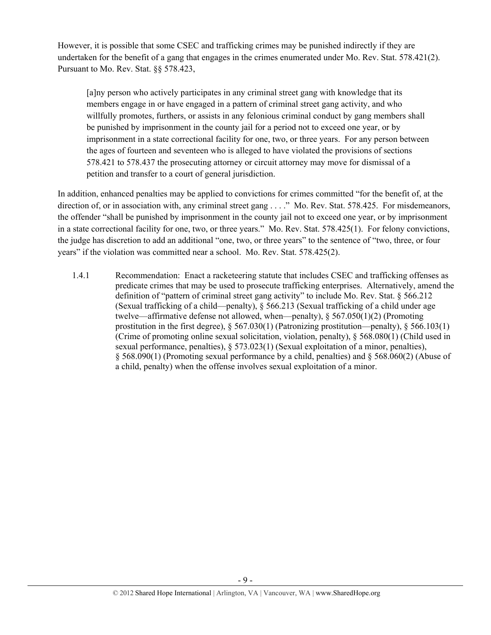However, it is possible that some CSEC and trafficking crimes may be punished indirectly if they are undertaken for the benefit of a gang that engages in the crimes enumerated under Mo. Rev. Stat. 578.421(2). Pursuant to Mo. Rev. Stat. §§ 578.423,

[a]ny person who actively participates in any criminal street gang with knowledge that its members engage in or have engaged in a pattern of criminal street gang activity, and who willfully promotes, furthers, or assists in any felonious criminal conduct by gang members shall be punished by imprisonment in the county jail for a period not to exceed one year, or by imprisonment in a state correctional facility for one, two, or three years. For any person between the ages of fourteen and seventeen who is alleged to have violated the provisions of sections 578.421 to 578.437 the prosecuting attorney or circuit attorney may move for dismissal of a petition and transfer to a court of general jurisdiction.

In addition, enhanced penalties may be applied to convictions for crimes committed "for the benefit of, at the direction of, or in association with, any criminal street gang . . . ." Mo. Rev. Stat. 578.425. For misdemeanors, the offender "shall be punished by imprisonment in the county jail not to exceed one year, or by imprisonment in a state correctional facility for one, two, or three years." Mo. Rev. Stat. 578.425(1). For felony convictions, the judge has discretion to add an additional "one, two, or three years" to the sentence of "two, three, or four years" if the violation was committed near a school. Mo. Rev. Stat. 578.425(2).

1.4.1 Recommendation: Enact a racketeering statute that includes CSEC and trafficking offenses as predicate crimes that may be used to prosecute trafficking enterprises. Alternatively, amend the definition of "pattern of criminal street gang activity" to include Mo. Rev. Stat. § 566.212 (Sexual trafficking of a child—penalty), § 566.213 (Sexual trafficking of a child under age twelve—affirmative defense not allowed, when—penalty),  $\S 567.050(1)(2)$  (Promoting prostitution in the first degree),  $\S 567.030(1)$  (Patronizing prostitution—penalty),  $\S 566.103(1)$ (Crime of promoting online sexual solicitation, violation, penalty), § 568.080(1) (Child used in sexual performance, penalties), § 573.023(1) (Sexual exploitation of a minor, penalties), § 568.090(1) (Promoting sexual performance by a child, penalties) and § 568.060(2) (Abuse of a child, penalty) when the offense involves sexual exploitation of a minor.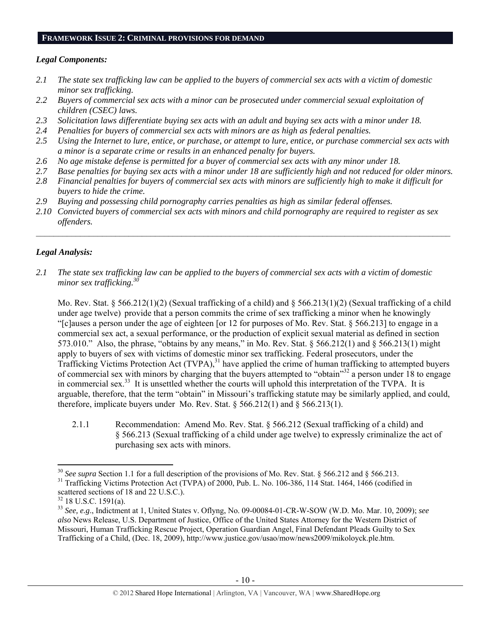### **FRAMEWORK ISSUE 2: CRIMINAL PROVISIONS FOR DEMAND**

## *Legal Components:*

- *2.1 The state sex trafficking law can be applied to the buyers of commercial sex acts with a victim of domestic minor sex trafficking.*
- *2.2 Buyers of commercial sex acts with a minor can be prosecuted under commercial sexual exploitation of children (CSEC) laws.*
- *2.3 Solicitation laws differentiate buying sex acts with an adult and buying sex acts with a minor under 18.*
- *2.4 Penalties for buyers of commercial sex acts with minors are as high as federal penalties.*
- *2.5 Using the Internet to lure, entice, or purchase, or attempt to lure, entice, or purchase commercial sex acts with a minor is a separate crime or results in an enhanced penalty for buyers.*
- *2.6 No age mistake defense is permitted for a buyer of commercial sex acts with any minor under 18.*
- *2.7 Base penalties for buying sex acts with a minor under 18 are sufficiently high and not reduced for older minors.*
- *2.8 Financial penalties for buyers of commercial sex acts with minors are sufficiently high to make it difficult for buyers to hide the crime.*
- *2.9 Buying and possessing child pornography carries penalties as high as similar federal offenses.*
- *2.10 Convicted buyers of commercial sex acts with minors and child pornography are required to register as sex offenders.*

 $\mathcal{L}_\mathcal{L} = \{ \mathcal{L}_\mathcal{L} = \{ \mathcal{L}_\mathcal{L} = \{ \mathcal{L}_\mathcal{L} = \{ \mathcal{L}_\mathcal{L} = \{ \mathcal{L}_\mathcal{L} = \{ \mathcal{L}_\mathcal{L} = \{ \mathcal{L}_\mathcal{L} = \{ \mathcal{L}_\mathcal{L} = \{ \mathcal{L}_\mathcal{L} = \{ \mathcal{L}_\mathcal{L} = \{ \mathcal{L}_\mathcal{L} = \{ \mathcal{L}_\mathcal{L} = \{ \mathcal{L}_\mathcal{L} = \{ \mathcal{L}_\mathcal{$ 

# *Legal Analysis:*

*2.1 The state sex trafficking law can be applied to the buyers of commercial sex acts with a victim of domestic minor sex trafficking.*<sup>3</sup>

Mo. Rev. Stat. § 566.212(1)(2) (Sexual trafficking of a child) and § 566.213(1)(2) (Sexual trafficking of a child under age twelve) provide that a person commits the crime of sex trafficking a minor when he knowingly "[c]auses a person under the age of eighteen [or 12 for purposes of Mo. Rev. Stat. § 566.213] to engage in a commercial sex act, a sexual performance, or the production of explicit sexual material as defined in section 573.010." Also, the phrase, "obtains by any means," in Mo. Rev. Stat. § 566.212(1) and § 566.213(1) might apply to buyers of sex with victims of domestic minor sex trafficking. Federal prosecutors, under the Trafficking Victims Protection Act (TVPA),<sup>31</sup> have applied the crime of human trafficking to attempted buyers of commercial sex with minors by charging that the buyers attempted to "obtain"32 a person under 18 to engage in commercial sex.<sup>33</sup> It is unsettled whether the courts will uphold this interpretation of the TVPA. It is arguable, therefore, that the term "obtain" in Missouri's trafficking statute may be similarly applied, and could, therefore, implicate buyers under Mo. Rev. Stat.  $\S 566.212(1)$  and  $\S 566.213(1)$ .

2.1.1 Recommendation: Amend Mo. Rev. Stat. § 566.212 (Sexual trafficking of a child) and § 566.213 (Sexual trafficking of a child under age twelve) to expressly criminalize the act of purchasing sex acts with minors.

<sup>&</sup>lt;sup>30</sup> See supra Section 1.1 for a full description of the provisions of Mo. Rev. Stat. § 566.212 and § 566.213. <sup>31</sup> Trafficking Victims Protection Act (TVPA) of 2000, Pub. L. No. 106-386, 114 Stat. 1464, 1466 (codified in scattered sections of 18 and 22 U.S.C.).

<sup>32 18</sup> U.S.C. 1591(a).

<sup>33</sup> *See, e.g*., Indictment at 1, United States v. Oflyng, No. 09-00084-01-CR-W-SOW (W.D. Mo. Mar. 10, 2009); *see also* News Release, U.S. Department of Justice, Office of the United States Attorney for the Western District of Missouri, Human Trafficking Rescue Project, Operation Guardian Angel, Final Defendant Pleads Guilty to Sex Trafficking of a Child, (Dec. 18, 2009), http://www.justice.gov/usao/mow/news2009/mikoloyck.ple.htm.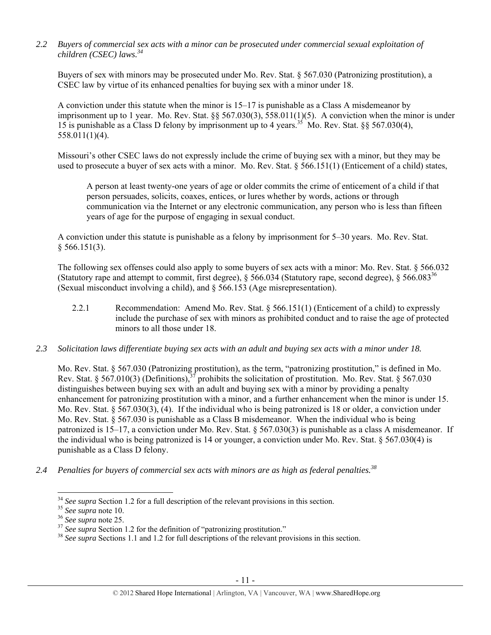*2.2 Buyers of commercial sex acts with a minor can be prosecuted under commercial sexual exploitation of children (CSEC) laws.34* 

Buyers of sex with minors may be prosecuted under Mo. Rev. Stat. § 567.030 (Patronizing prostitution), a CSEC law by virtue of its enhanced penalties for buying sex with a minor under 18.

A conviction under this statute when the minor is 15–17 is punishable as a Class A misdemeanor by imprisonment up to 1 year. Mo. Rev. Stat. §§ 567.030(3), 558.011(1)(5). A conviction when the minor is under 15 is punishable as a Class D felony by imprisonment up to 4 years.<sup>35</sup> Mo. Rev. Stat.  $88\frac{567.030(4)}{20}$ . 558.011(1)(4).

Missouri's other CSEC laws do not expressly include the crime of buying sex with a minor, but they may be used to prosecute a buyer of sex acts with a minor. Mo. Rev. Stat. § 566.151(1) (Enticement of a child) states,

A person at least twenty-one years of age or older commits the crime of enticement of a child if that person persuades, solicits, coaxes, entices, or lures whether by words, actions or through communication via the Internet or any electronic communication, any person who is less than fifteen years of age for the purpose of engaging in sexual conduct.

A conviction under this statute is punishable as a felony by imprisonment for 5–30 years. Mo. Rev. Stat.  $§$  566.151(3).

The following sex offenses could also apply to some buyers of sex acts with a minor: Mo. Rev. Stat. § 566.032 (Statutory rape and attempt to commit, first degree),  $\S 566.034$  (Statutory rape, second degree),  $\S 566.083^{36}$ (Sexual misconduct involving a child), and § 566.153 (Age misrepresentation).

- 2.2.1 Recommendation: Amend Mo. Rev. Stat. § 566.151(1) (Enticement of a child) to expressly include the purchase of sex with minors as prohibited conduct and to raise the age of protected minors to all those under 18.
- *2.3 Solicitation laws differentiate buying sex acts with an adult and buying sex acts with a minor under 18.*

Mo. Rev. Stat. § 567.030 (Patronizing prostitution), as the term, "patronizing prostitution," is defined in Mo. Rev. Stat. § 567.010(3) (Definitions),  $3^7$  prohibits the solicitation of prostitution. Mo. Rev. Stat. § 567.030 distinguishes between buying sex with an adult and buying sex with a minor by providing a penalty enhancement for patronizing prostitution with a minor, and a further enhancement when the minor is under 15. Mo. Rev. Stat. § 567.030(3), (4). If the individual who is being patronized is 18 or older, a conviction under Mo. Rev. Stat. § 567.030 is punishable as a Class B misdemeanor. When the individual who is being patronized is 15–17, a conviction under Mo. Rev. Stat. § 567.030(3) is punishable as a class A misdemeanor. If the individual who is being patronized is 14 or younger, a conviction under Mo. Rev. Stat. § 567.030(4) is punishable as a Class D felony.

*2.4 Penalties for buyers of commercial sex acts with minors are as high as federal penalties.<sup>38</sup>*

 $34$  See supra Section 1.2 for a full description of the relevant provisions in this section.

<sup>&</sup>lt;sup>35</sup> See supra note 10.<br><sup>36</sup> See supra note 25.<br><sup>37</sup> See supra Section 1.2 for the definition of "patronizing prostitution."<br><sup>38</sup> See supra Sections 1.1 and 1.2 for full descriptions of the relevant provisions in this sec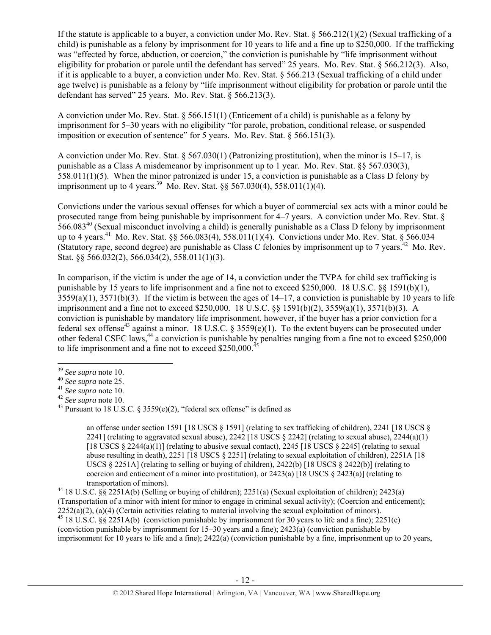If the statute is applicable to a buyer, a conviction under Mo. Rev. Stat.  $\S 566.212(1)(2)$  (Sexual trafficking of a child) is punishable as a felony by imprisonment for 10 years to life and a fine up to \$250,000. If the trafficking was "effected by force, abduction, or coercion," the conviction is punishable by "life imprisonment without eligibility for probation or parole until the defendant has served" 25 years. Mo. Rev. Stat. § 566.212(3). Also, if it is applicable to a buyer, a conviction under Mo. Rev. Stat. § 566.213 (Sexual trafficking of a child under age twelve) is punishable as a felony by "life imprisonment without eligibility for probation or parole until the defendant has served" 25 years. Mo. Rev. Stat. § 566.213(3).

A conviction under Mo. Rev. Stat. § 566.151(1) (Enticement of a child) is punishable as a felony by imprisonment for 5–30 years with no eligibility "for parole, probation, conditional release, or suspended imposition or execution of sentence" for 5 years. Mo. Rev. Stat. § 566.151(3).

A conviction under Mo. Rev. Stat. § 567.030(1) (Patronizing prostitution), when the minor is 15–17, is punishable as a Class A misdemeanor by imprisonment up to 1 year. Mo. Rev. Stat. §§ 567.030(3), 558.011(1)(5). When the minor patronized is under 15, a conviction is punishable as a Class D felony by imprisonment up to 4 years.<sup>39</sup> Mo. Rev. Stat.  $\frac{6}{567.030(4)}$ , 558.011(1)(4).

Convictions under the various sexual offenses for which a buyer of commercial sex acts with a minor could be prosecuted range from being punishable by imprisonment for 4–7 years. A conviction under Mo. Rev. Stat. § 566.08340 (Sexual misconduct involving a child) is generally punishable as a Class D felony by imprisonment up to 4 years.<sup>41</sup> Mo. Rev. Stat. §§ 566.083(4), 558.011(1)(4). Convictions under Mo. Rev. Stat. § 566.034 (Statutory rape, second degree) are punishable as Class C felonies by imprisonment up to 7 years.<sup>42</sup> Mo. Rev. Stat. §§ 566.032(2), 566.034(2), 558.011(1)(3).

In comparison, if the victim is under the age of 14, a conviction under the TVPA for child sex trafficking is punishable by 15 years to life imprisonment and a fine not to exceed \$250,000. 18 U.S.C. §§ 1591(b)(1),  $3559(a)(1)$ ,  $3571(b)(3)$ . If the victim is between the ages of  $14-17$ , a conviction is punishable by 10 years to life imprisonment and a fine not to exceed \$250,000. 18 U.S.C. §§ 1591(b)(2), 3559(a)(1), 3571(b)(3). A conviction is punishable by mandatory life imprisonment, however, if the buyer has a prior conviction for a federal sex offense<sup>43</sup> against a minor. 18 U.S.C. § 3559(e)(1). To the extent buyers can be prosecuted under other federal CSEC laws,<sup>44</sup> a conviction is punishable by penalties ranging from a fine not to exceed \$250,000 to life imprisonment and a fine not to exceed \$250,000.<sup>45</sup>

an offense under section 1591 [18 USCS § 1591] (relating to sex trafficking of children), 2241 [18 USCS § 2241] (relating to aggravated sexual abuse), 2242 [18 USCS § 2242] (relating to sexual abuse), 2244(a)(1) [18 USCS  $\S$  2244(a)(1)] (relating to abusive sexual contact), 2245 [18 USCS  $\S$  2245] (relating to sexual abuse resulting in death), 2251 [18 USCS § 2251] (relating to sexual exploitation of children), 2251A [18 USCS  $\S$  2251A] (relating to selling or buying of children), 2422(b) [18 USCS  $\S$  2422(b)] (relating to coercion and enticement of a minor into prostitution), or  $2423(a)$  [18 USCS  $\S$  2423(a)] (relating to transportation of minors).<br><sup>44</sup> 18 U.S.C. §§ 2251A(b) (Selling or buying of children); 2251(a) (Sexual exploitation of children); 2423(a)

(Transportation of a minor with intent for minor to engage in criminal sexual activity); (Coercion and enticement); 2252(a)(2), (a)(4) (Certain activities relating to material involving the sexual exploitation of minors).  $^{45}$  18 U.S.C. §§ 2251A(b) (conviction punishable by imprisonment for 30 years to life and a fine); 2251(e) (conviction punishable by imprisonment for 15–30 years and a fine); 2423(a) (conviction punishable by imprisonment for 10 years to life and a fine); 2422(a) (conviction punishable by a fine, imprisonment up to 20 years,

<sup>&</sup>lt;sup>39</sup> *See supra* note 10.<br><sup>40</sup> *See supra* note 25.<br><sup>41</sup> *See supra* note 10.<br><sup>43</sup> Pursuant to 18 U.S.C. § 3559(e)(2), "federal sex offense" is defined as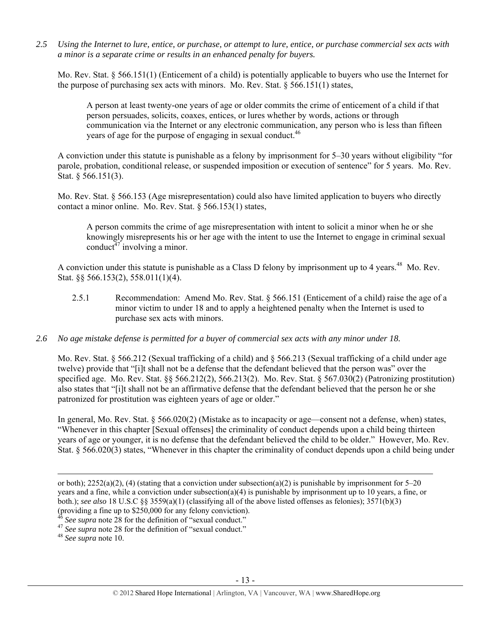*2.5 Using the Internet to lure, entice, or purchase, or attempt to lure, entice, or purchase commercial sex acts with a minor is a separate crime or results in an enhanced penalty for buyers.* 

Mo. Rev. Stat. § 566.151(1) (Enticement of a child) is potentially applicable to buyers who use the Internet for the purpose of purchasing sex acts with minors. Mo. Rev. Stat. § 566.151(1) states,

A person at least twenty-one years of age or older commits the crime of enticement of a child if that person persuades, solicits, coaxes, entices, or lures whether by words, actions or through communication via the Internet or any electronic communication, any person who is less than fifteen years of age for the purpose of engaging in sexual conduct.<sup>46</sup>

A conviction under this statute is punishable as a felony by imprisonment for 5–30 years without eligibility "for parole, probation, conditional release, or suspended imposition or execution of sentence" for 5 years. Mo. Rev. Stat. § 566.151(3).

Mo. Rev. Stat. § 566.153 (Age misrepresentation) could also have limited application to buyers who directly contact a minor online. Mo. Rev. Stat. § 566.153(1) states,

A person commits the crime of age misrepresentation with intent to solicit a minor when he or she knowingly misrepresents his or her age with the intent to use the Internet to engage in criminal sexual conduct<sup> $47$ </sup> involving a minor.

A conviction under this statute is punishable as a Class D felony by imprisonment up to 4 years.<sup>48</sup> Mo. Rev. Stat. §§ 566.153(2), 558.011(1)(4).

- 2.5.1 Recommendation: Amend Mo. Rev. Stat. § 566.151 (Enticement of a child) raise the age of a minor victim to under 18 and to apply a heightened penalty when the Internet is used to purchase sex acts with minors.
- *2.6 No age mistake defense is permitted for a buyer of commercial sex acts with any minor under 18.*

Mo. Rev. Stat. § 566.212 (Sexual trafficking of a child) and § 566.213 (Sexual trafficking of a child under age twelve) provide that "[i]t shall not be a defense that the defendant believed that the person was" over the specified age. Mo. Rev. Stat. §§ 566.212(2), 566.213(2). Mo. Rev. Stat. § 567.030(2) (Patronizing prostitution) also states that "[i]t shall not be an affirmative defense that the defendant believed that the person he or she patronized for prostitution was eighteen years of age or older."

In general, Mo. Rev. Stat. § 566.020(2) (Mistake as to incapacity or age—consent not a defense, when) states, "Whenever in this chapter [Sexual offenses] the criminality of conduct depends upon a child being thirteen years of age or younger, it is no defense that the defendant believed the child to be older." However, Mo. Rev. Stat. § 566.020(3) states, "Whenever in this chapter the criminality of conduct depends upon a child being under

<u> Andrewski politika (za obrazu za obrazu za obrazu za obrazu za obrazu za obrazu za obrazu za obrazu za obrazu</u>

or both);  $2252(a)(2)$ , (4) (stating that a conviction under subsection(a)(2) is punishable by imprisonment for 5–20 years and a fine, while a conviction under subsection(a)(4) is punishable by imprisonment up to 10 years, a fine, or both.); *see also* 18 U.S.C §§ 3559(a)(1) (classifying all of the above listed offenses as felonies); 3571(b)(3) (providing a fine up to \$250,000 for any felony conviction).

<sup>46</sup> *See supra* note 28 for the definition of "sexual conduct." 47 *See supra* note 28 for the definition of "sexual conduct." 48 *See supra* note 10.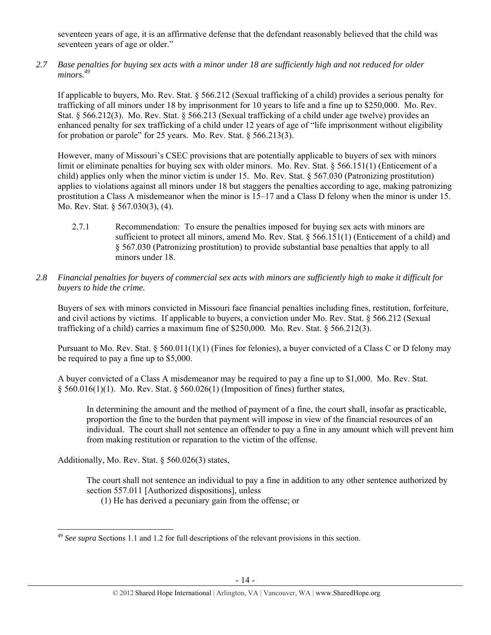seventeen years of age, it is an affirmative defense that the defendant reasonably believed that the child was seventeen years of age or older."

*2.7 Base penalties for buying sex acts with a minor under 18 are sufficiently high and not reduced for older minors.49* 

If applicable to buyers, Mo. Rev. Stat. § 566.212 (Sexual trafficking of a child) provides a serious penalty for trafficking of all minors under 18 by imprisonment for 10 years to life and a fine up to \$250,000. Mo. Rev. Stat. § 566.212(3). Mo. Rev. Stat. § 566.213 (Sexual trafficking of a child under age twelve) provides an enhanced penalty for sex trafficking of a child under 12 years of age of "life imprisonment without eligibility for probation or parole" for 25 years. Mo. Rev. Stat. § 566.213(3).

However, many of Missouri's CSEC provisions that are potentially applicable to buyers of sex with minors limit or eliminate penalties for buying sex with older minors. Mo. Rev. Stat. § 566.151(1) (Enticement of a child) applies only when the minor victim is under 15. Mo. Rev. Stat. § 567.030 (Patronizing prostitution) applies to violations against all minors under 18 but staggers the penalties according to age, making patronizing prostitution a Class A misdemeanor when the minor is 15–17 and a Class D felony when the minor is under 15. Mo. Rev. Stat. § 567.030(3), (4).

- 2.7.1 Recommendation: To ensure the penalties imposed for buying sex acts with minors are sufficient to protect all minors, amend Mo. Rev. Stat. § 566.151(1) (Enticement of a child) and § 567.030 (Patronizing prostitution) to provide substantial base penalties that apply to all minors under 18.
- *2.8 Financial penalties for buyers of commercial sex acts with minors are sufficiently high to make it difficult for buyers to hide the crime.*

Buyers of sex with minors convicted in Missouri face financial penalties including fines, restitution, forfeiture, and civil actions by victims. If applicable to buyers, a conviction under Mo. Rev. Stat. § 566.212 (Sexual trafficking of a child) carries a maximum fine of  $$250,000$ . Mo. Rev. Stat.  $§ 566.212(3)$ .

Pursuant to Mo. Rev. Stat. § 560.011(1)(1) (Fines for felonies), a buyer convicted of a Class C or D felony may be required to pay a fine up to \$5,000.

A buyer convicted of a Class A misdemeanor may be required to pay a fine up to \$1,000. Mo. Rev. Stat. § 560.016(1)(1). Mo. Rev. Stat. § 560.026(1) (Imposition of fines) further states,

In determining the amount and the method of payment of a fine, the court shall, insofar as practicable, proportion the fine to the burden that payment will impose in view of the financial resources of an individual. The court shall not sentence an offender to pay a fine in any amount which will prevent him from making restitution or reparation to the victim of the offense.

Additionally, Mo. Rev. Stat. § 560.026(3) states,

The court shall not sentence an individual to pay a fine in addition to any other sentence authorized by section 557.011 [Authorized dispositions], unless

(1) He has derived a pecuniary gain from the offense; or

 <sup>49</sup> *See supra* Sections 1.1 and 1.2 for full descriptions of the relevant provisions in this section.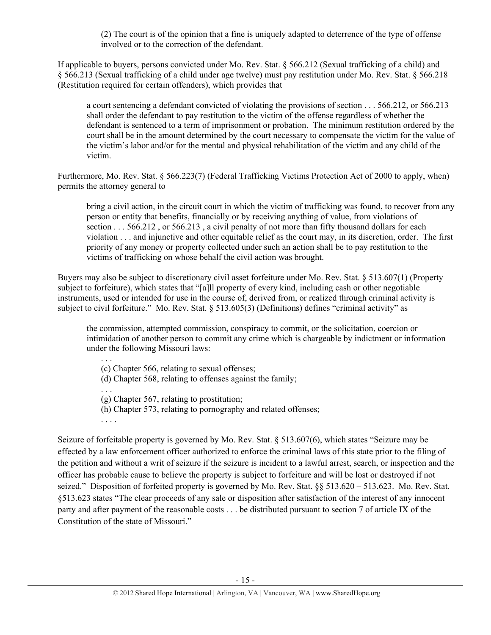(2) The court is of the opinion that a fine is uniquely adapted to deterrence of the type of offense involved or to the correction of the defendant.

If applicable to buyers, persons convicted under Mo. Rev. Stat. § 566.212 (Sexual trafficking of a child) and § 566.213 (Sexual trafficking of a child under age twelve) must pay restitution under Mo. Rev. Stat. § 566.218 (Restitution required for certain offenders), which provides that

a court sentencing a defendant convicted of violating the provisions of section . . . 566.212, or 566.213 shall order the defendant to pay restitution to the victim of the offense regardless of whether the defendant is sentenced to a term of imprisonment or probation. The minimum restitution ordered by the court shall be in the amount determined by the court necessary to compensate the victim for the value of the victim's labor and/or for the mental and physical rehabilitation of the victim and any child of the victim.

Furthermore, Mo. Rev. Stat. § 566.223(7) (Federal Trafficking Victims Protection Act of 2000 to apply, when) permits the attorney general to

bring a civil action, in the circuit court in which the victim of trafficking was found, to recover from any person or entity that benefits, financially or by receiving anything of value, from violations of section . . . 566.212, or 566.213, a civil penalty of not more than fifty thousand dollars for each violation . . . and injunctive and other equitable relief as the court may, in its discretion, order. The first priority of any money or property collected under such an action shall be to pay restitution to the victims of trafficking on whose behalf the civil action was brought.

Buyers may also be subject to discretionary civil asset forfeiture under Mo. Rev. Stat. § 513.607(1) (Property subject to forfeiture), which states that "[a]ll property of every kind, including cash or other negotiable instruments, used or intended for use in the course of, derived from, or realized through criminal activity is subject to civil forfeiture." Mo. Rev. Stat. § 513.605(3) (Definitions) defines "criminal activity" as

the commission, attempted commission, conspiracy to commit, or the solicitation, coercion or intimidation of another person to commit any crime which is chargeable by indictment or information under the following Missouri laws:

. . . (c) Chapter 566, relating to sexual offenses; (d) Chapter 568, relating to offenses against the family; . . . (g) Chapter 567, relating to prostitution; (h) Chapter 573, relating to pornography and related offenses; . . . .

Seizure of forfeitable property is governed by Mo. Rev. Stat. § 513.607(6), which states "Seizure may be effected by a law enforcement officer authorized to enforce the criminal laws of this state prior to the filing of the petition and without a writ of seizure if the seizure is incident to a lawful arrest, search, or inspection and the officer has probable cause to believe the property is subject to forfeiture and will be lost or destroyed if not seized." Disposition of forfeited property is governed by Mo. Rev. Stat. §§ 513.620 – 513.623. Mo. Rev. Stat. §513.623 states "The clear proceeds of any sale or disposition after satisfaction of the interest of any innocent party and after payment of the reasonable costs . . . be distributed pursuant to section 7 of article IX of the Constitution of the state of Missouri."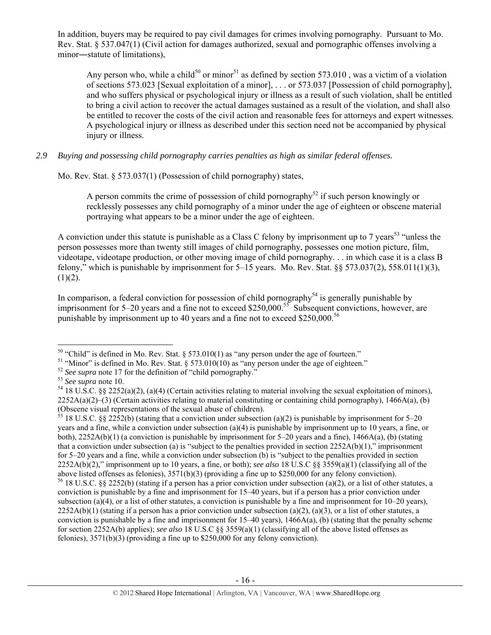In addition, buyers may be required to pay civil damages for crimes involving pornography. Pursuant to Mo. Rev. Stat. § 537.047(1) (Civil action for damages authorized, sexual and pornographic offenses involving a minor―statute of limitations),

Any person who, while a child<sup>50</sup> or minor<sup>51</sup> as defined by section 573.010, was a victim of a violation of sections 573.023 [Sexual exploitation of a minor], . . . or 573.037 [Possession of child pornography], and who suffers physical or psychological injury or illness as a result of such violation, shall be entitled to bring a civil action to recover the actual damages sustained as a result of the violation, and shall also be entitled to recover the costs of the civil action and reasonable fees for attorneys and expert witnesses. A psychological injury or illness as described under this section need not be accompanied by physical injury or illness.

*2.9 Buying and possessing child pornography carries penalties as high as similar federal offenses.* 

Mo. Rev. Stat. § 573.037(1) (Possession of child pornography) states,

A person commits the crime of possession of child pornography<sup>52</sup> if such person knowingly or recklessly possesses any child pornography of a minor under the age of eighteen or obscene material portraying what appears to be a minor under the age of eighteen.

A conviction under this statute is punishable as a Class C felony by imprisonment up to 7 years<sup>53</sup> "unless the person possesses more than twenty still images of child pornography, possesses one motion picture, film, videotape, videotape production, or other moving image of child pornography. . . in which case it is a class B felony," which is punishable by imprisonment for  $5-15$  years. Mo. Rev. Stat. §§ 573.037(2), 558.011(1)(3),  $(1)(2)$ .

In comparison, a federal conviction for possession of child pornography<sup>54</sup> is generally punishable by imprisonment for 5–20 years and a fine not to exceed \$250,000.<sup>55</sup> Subsequent convictions, however, are punishable by imprisonment up to 40 years and a fine not to exceed  $$250,000.<sup>56</sup>$ 

<sup>&</sup>lt;sup>50</sup> "Child" is defined in Mo. Rev. Stat. § 573.010(1) as "any person under the age of fourteen."<br><sup>51</sup> "Minor" is defined in Mo. Rev. Stat. § 573.010(10) as "any person under the age of eighteen."

<sup>&</sup>lt;sup>52</sup> See supra note 17 for the definition of "child pornography."<br><sup>53</sup> See supra note 10.<br><sup>54</sup> 18 U.S.C. §§ 2252(a)(2), (a)(4) (Certain activities relating to material involving the sexual exploitation of minors),  $2252A(a)(2)$ –(3) (Certain activities relating to material constituting or containing child pornography), 1466A(a), (b) (Obscene visual representations of the sexual abuse of children).

 $\frac{55}{18}$  18 U.S.C. §§ 2252(b) (stating that a conviction under subsection (a)(2) is punishable by imprisonment for 5–20 years and a fine, while a conviction under subsection (a)(4) is punishable by imprisonment up to 10 years, a fine, or both), 2252A(b)(1) (a conviction is punishable by imprisonment for 5–20 years and a fine), 1466A(a), (b) (stating that a conviction under subsection (a) is "subject to the penalties provided in section  $2252A(b)(1)$ ," imprisonment for 5–20 years and a fine, while a conviction under subsection (b) is "subject to the penalties provided in section 2252A(b)(2)," imprisonment up to 10 years, a fine, or both); *see also* 18 U.S.C §§ 3559(a)(1) (classifying all of the above listed offenses as felonies), 3571(b)(3) (providing a fine up to \$250,000 for any felony conviction). <sup>56</sup> 18 U.S.C. §§ 2252(b) (stating if a person has a prior conviction under subsection (a)(2), or a list of other statutes, a conviction is punishable by a fine and imprisonment for 15–40 years, but if a person has a prior conviction under subsection (a)(4), or a list of other statutes, a conviction is punishable by a fine and imprisonment for  $10-20$  years),  $2252A(b)(1)$  (stating if a person has a prior conviction under subsection (a)(2), (a)(3), or a list of other statutes, a conviction is punishable by a fine and imprisonment for  $15-40$  years),  $1466A(a)$ , (b) (stating that the penalty scheme for section 2252A(b) applies); *see also* 18 U.S.C §§ 3559(a)(1) (classifying all of the above listed offenses as felonies), 3571(b)(3) (providing a fine up to \$250,000 for any felony conviction).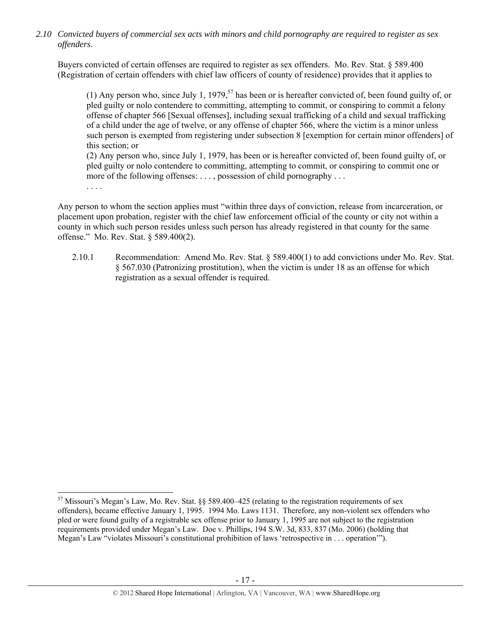*2.10 Convicted buyers of commercial sex acts with minors and child pornography are required to register as sex offenders*.

Buyers convicted of certain offenses are required to register as sex offenders. Mo. Rev. Stat. § 589.400 (Registration of certain offenders with chief law officers of county of residence) provides that it applies to

(1) Any person who, since July 1, 1979,<sup>57</sup> has been or is hereafter convicted of, been found guilty of, or pled guilty or nolo contendere to committing, attempting to commit, or conspiring to commit a felony offense of chapter 566 [Sexual offenses], including sexual trafficking of a child and sexual trafficking of a child under the age of twelve, or any offense of chapter 566, where the victim is a minor unless such person is exempted from registering under subsection 8 [exemption for certain minor offenders] of this section; or

(2) Any person who, since July 1, 1979, has been or is hereafter convicted of, been found guilty of, or pled guilty or nolo contendere to committing, attempting to commit, or conspiring to commit one or more of the following offenses: . . . , possession of child pornography . . .

. . . .

Any person to whom the section applies must "within three days of conviction, release from incarceration, or placement upon probation, register with the chief law enforcement official of the county or city not within a county in which such person resides unless such person has already registered in that county for the same offense." Mo. Rev. Stat. § 589.400(2).

2.10.1 Recommendation: Amend Mo. Rev. Stat. § 589.400(1) to add convictions under Mo. Rev. Stat. § 567.030 (Patronizing prostitution), when the victim is under 18 as an offense for which registration as a sexual offender is required.

 $57$  Missouri's Megan's Law, Mo. Rev. Stat. §§ 589.400–425 (relating to the registration requirements of sex offenders), became effective January 1, 1995. 1994 Mo. Laws 1131. Therefore, any non-violent sex offenders who pled or were found guilty of a registrable sex offense prior to January 1, 1995 are not subject to the registration requirements provided under Megan's Law. Doe v. Phillips, 194 S.W. 3d, 833, 837 (Mo. 2006) (holding that Megan's Law "violates Missouri's constitutional prohibition of laws 'retrospective in . . . operation'").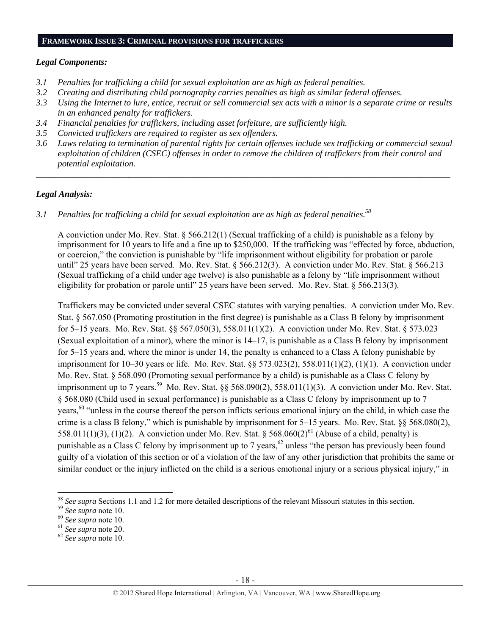#### **FRAMEWORK ISSUE 3: CRIMINAL PROVISIONS FOR TRAFFICKERS**

## *Legal Components:*

- *3.1 Penalties for trafficking a child for sexual exploitation are as high as federal penalties.*
- *3.2 Creating and distributing child pornography carries penalties as high as similar federal offenses.*
- *3.3 Using the Internet to lure, entice, recruit or sell commercial sex acts with a minor is a separate crime or results in an enhanced penalty for traffickers.*
- *3.4 Financial penalties for traffickers, including asset forfeiture, are sufficiently high.*
- *3.5 Convicted traffickers are required to register as sex offenders.*
- *3.6 Laws relating to termination of parental rights for certain offenses include sex trafficking or commercial sexual exploitation of children (CSEC) offenses in order to remove the children of traffickers from their control and potential exploitation.*

*\_\_\_\_\_\_\_\_\_\_\_\_\_\_\_\_\_\_\_\_\_\_\_\_\_\_\_\_\_\_\_\_\_\_\_\_\_\_\_\_\_\_\_\_\_\_\_\_\_\_\_\_\_\_\_\_\_\_\_\_\_\_\_\_\_\_\_\_\_\_\_\_\_\_\_\_\_\_\_\_\_\_\_\_\_\_\_\_\_\_\_\_\_\_* 

# *Legal Analysis:*

*3.1 Penalties for trafficking a child for sexual exploitation are as high as federal penalties.58* 

A conviction under Mo. Rev. Stat. § 566.212(1) (Sexual trafficking of a child) is punishable as a felony by imprisonment for 10 years to life and a fine up to \$250,000. If the trafficking was "effected by force, abduction, or coercion," the conviction is punishable by "life imprisonment without eligibility for probation or parole until" 25 years have been served. Mo. Rev. Stat. § 566.212(3). A conviction under Mo. Rev. Stat. § 566.213 (Sexual trafficking of a child under age twelve) is also punishable as a felony by "life imprisonment without eligibility for probation or parole until" 25 years have been served. Mo. Rev. Stat. § 566.213(3).

Traffickers may be convicted under several CSEC statutes with varying penalties. A conviction under Mo. Rev. Stat. § 567.050 (Promoting prostitution in the first degree) is punishable as a Class B felony by imprisonment for 5–15 years. Mo. Rev. Stat. §§ 567.050(3), 558.011(1)(2). A conviction under Mo. Rev. Stat. § 573.023 (Sexual exploitation of a minor), where the minor is 14–17, is punishable as a Class B felony by imprisonment for 5–15 years and, where the minor is under 14, the penalty is enhanced to a Class A felony punishable by imprisonment for 10–30 years or life. Mo. Rev. Stat. §§ 573.023(2), 558.011(1)(2), (1)(1). A conviction under Mo. Rev. Stat. § 568.090 (Promoting sexual performance by a child) is punishable as a Class C felony by imprisonment up to 7 years.<sup>59</sup> Mo. Rev. Stat. §§ 568.090(2), 558.011(1)(3). A conviction under Mo. Rev. Stat. § 568.080 (Child used in sexual performance) is punishable as a Class C felony by imprisonment up to 7 years,<sup>60</sup> "unless in the course thereof the person inflicts serious emotional injury on the child, in which case the crime is a class B felony," which is punishable by imprisonment for 5–15 years. Mo. Rev. Stat. §§ 568.080(2), 558.011(1)(3), (1)(2). A conviction under Mo. Rev. Stat.  $\S$  568.060(2)<sup>61</sup> (Abuse of a child, penalty) is punishable as a Class C felony by imprisonment up to 7 years,<sup>62</sup> unless "the person has previously been found guilty of a violation of this section or of a violation of the law of any other jurisdiction that prohibits the same or similar conduct or the injury inflicted on the child is a serious emotional injury or a serious physical injury," in

 <sup>58</sup> See supra Sections 1.1 and 1.2 for more detailed descriptions of the relevant Missouri statutes in this section.<br><sup>59</sup> See supra note 10.<br><sup>60</sup> See supra note 10.<br><sup>61</sup> See supra note 20.<br><sup>62</sup> See supra note 10.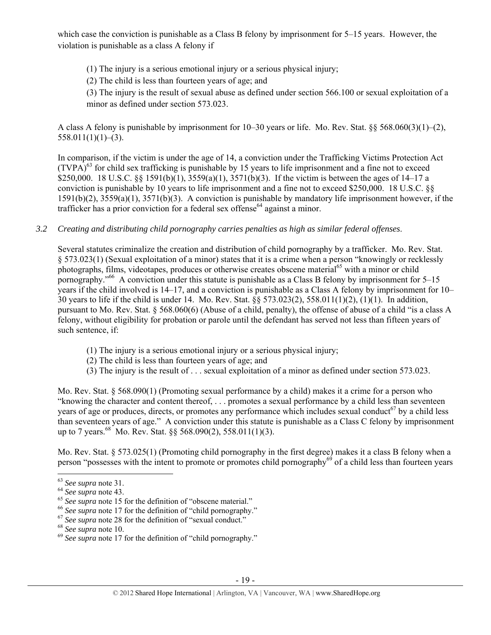which case the conviction is punishable as a Class B felony by imprisonment for 5–15 years. However, the violation is punishable as a class A felony if

(1) The injury is a serious emotional injury or a serious physical injury;

(2) The child is less than fourteen years of age; and

(3) The injury is the result of sexual abuse as defined under section 566.100 or sexual exploitation of a minor as defined under section 573.023.

A class A felony is punishable by imprisonment for 10–30 years or life. Mo. Rev. Stat. §§ 568.060(3)(1)–(2),  $558.011(1)(1)–(3)$ .

In comparison, if the victim is under the age of 14, a conviction under the Trafficking Victims Protection Act  $(TVPA)<sup>63</sup>$  for child sex trafficking is punishable by 15 years to life imprisonment and a fine not to exceed \$250,000. 18 U.S.C. §§ 1591(b)(1), 3559(a)(1), 3571(b)(3). If the victim is between the ages of 14–17 a conviction is punishable by 10 years to life imprisonment and a fine not to exceed \$250,000. 18 U.S.C. §§ 1591(b)(2), 3559(a)(1), 3571(b)(3). A conviction is punishable by mandatory life imprisonment however, if the trafficker has a prior conviction for a federal sex offense<sup>64</sup> against a minor.

*3.2 Creating and distributing child pornography carries penalties as high as similar federal offenses*.

Several statutes criminalize the creation and distribution of child pornography by a trafficker. Mo. Rev. Stat. § 573.023(1) (Sexual exploitation of a minor) states that it is a crime when a person "knowingly or recklessly photographs, films, videotapes, produces or otherwise creates obscene material<sup>65</sup> with a minor or child pornography."66 A conviction under this statute is punishable as a Class B felony by imprisonment for 5–15 years if the child involved is 14–17, and a conviction is punishable as a Class A felony by imprisonment for 10– 30 years to life if the child is under 14. Mo. Rev. Stat. §§ 573.023(2), 558.011(1)(2), (1)(1). In addition, pursuant to Mo. Rev. Stat. § 568.060(6) (Abuse of a child, penalty), the offense of abuse of a child "is a class A felony, without eligibility for probation or parole until the defendant has served not less than fifteen years of such sentence, if:

- (1) The injury is a serious emotional injury or a serious physical injury;
- (2) The child is less than fourteen years of age; and
- (3) The injury is the result of . . . sexual exploitation of a minor as defined under section 573.023.

Mo. Rev. Stat. § 568.090(1) (Promoting sexual performance by a child) makes it a crime for a person who "knowing the character and content thereof, . . . promotes a sexual performance by a child less than seventeen years of age or produces, directs, or promotes any performance which includes sexual conduct<sup>67</sup> by a child less than seventeen years of age." A conviction under this statute is punishable as a Class C felony by imprisonment up to 7 years.<sup>68</sup> Mo. Rev. Stat. §§ 568.090(2), 558.011(1)(3).

Mo. Rev. Stat. § 573.025(1) (Promoting child pornography in the first degree) makes it a class B felony when a person "possesses with the intent to promote or promotes child pornography<sup>69</sup> of a child less than fourteen years

<sup>&</sup>lt;sup>63</sup> See supra note 31.<br>
<sup>64</sup> See supra note 43.<br>
<sup>65</sup> See supra note 15 for the definition of "obscene material."<br>
<sup>66</sup> See supra note 17 for the definition of "child pornography."<br>
<sup>67</sup> See supra note 28 for the definit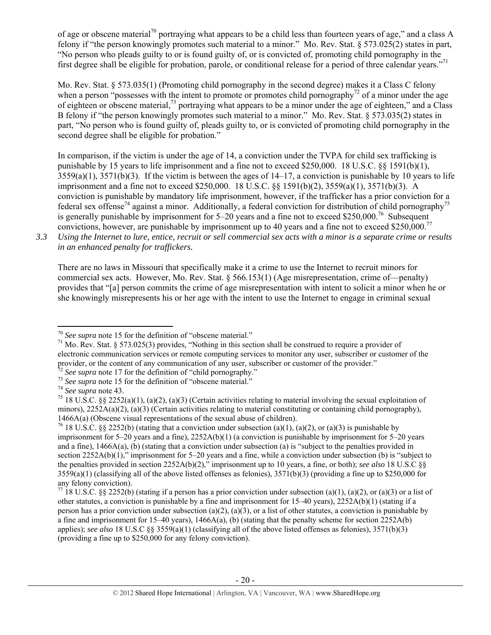of age or obscene material<sup>70</sup> portraying what appears to be a child less than fourteen years of age," and a class A felony if "the person knowingly promotes such material to a minor." Mo. Rev. Stat. § 573.025(2) states in part, "No person who pleads guilty to or is found guilty of, or is convicted of, promoting child pornography in the first degree shall be eligible for probation, parole, or conditional release for a period of three calendar years."71

Mo. Rev. Stat. § 573.035(1) (Promoting child pornography in the second degree) makes it a Class C felony when a person "possesses with the intent to promote or promotes child pornography<sup>72</sup> of a minor under the age of eighteen or obscene material,<sup>73</sup> portraying what appears to be a minor under the age of eighteen," and a Class B felony if "the person knowingly promotes such material to a minor." Mo. Rev. Stat. § 573.035(2) states in part, "No person who is found guilty of, pleads guilty to, or is convicted of promoting child pornography in the second degree shall be eligible for probation."

In comparison, if the victim is under the age of 14, a conviction under the TVPA for child sex trafficking is punishable by 15 years to life imprisonment and a fine not to exceed \$250,000. 18 U.S.C. §§ 1591(b)(1),  $3559(a)(1)$ ,  $3571(b)(3)$ . If the victim is between the ages of  $14-17$ , a conviction is punishable by 10 years to life imprisonment and a fine not to exceed \$250,000. 18 U.S.C. §§ 1591(b)(2), 3559(a)(1), 3571(b)(3). A conviction is punishable by mandatory life imprisonment, however, if the trafficker has a prior conviction for a federal sex offense<sup>74</sup> against a minor. Additionally, a federal conviction for distribution of child pornography<sup>75</sup> is generally punishable by imprisonment for 5–20 years and a fine not to exceed \$250,000.<sup>76</sup> Subsequent convictions, however, are punishable by imprisonment up to 40 years and a fine not to exceed \$250,000.77

*3.3 Using the Internet to lure, entice, recruit or sell commercial sex acts with a minor is a separate crime or results in an enhanced penalty for traffickers.* 

There are no laws in Missouri that specifically make it a crime to use the Internet to recruit minors for commercial sex acts. However, Mo. Rev. Stat. § 566.153(1) (Age misrepresentation, crime of—penalty) provides that "[a] person commits the crime of age misrepresentation with intent to solicit a minor when he or she knowingly misrepresents his or her age with the intent to use the Internet to engage in criminal sexual

 $70$  See supra note 15 for the definition of "obscene material."

<sup>&</sup>lt;sup>71</sup> Mo. Rev. Stat. § 573.025(3) provides, "Nothing in this section shall be construed to require a provider of electronic communication services or remote computing services to monitor any user, subscriber or customer of the provider, or the content of any communication of any user, subscriber or customer of the provider."<br>
<sup>72</sup> See supra note 17 for the definition of "child pornography."<br>
<sup>73</sup> See supra note 15 for the definition of "obscene

minors),  $2252A(a)(2)$ ,  $(a)(3)$  (Certain activities relating to material constituting or containing child pornography), 1466A(a) (Obscene visual representations of the sexual abuse of children).<br><sup>76</sup> 18 U.S.C. §§ 2252(b) (stating that a conviction under subsection (a)(1), (a)(2), or (a)(3) is punishable by

imprisonment for 5–20 years and a fine), 2252A(b)(1) (a conviction is punishable by imprisonment for 5–20 years and a fine), 1466A(a), (b) (stating that a conviction under subsection (a) is "subject to the penalties provided in section 2252A(b)(1)," imprisonment for 5–20 years and a fine, while a conviction under subsection (b) is "subject to the penalties provided in section 2252A(b)(2)," imprisonment up to 10 years, a fine, or both); *see also* 18 U.S.C §§  $3559(a)(1)$  (classifying all of the above listed offenses as felonies),  $3571(b)(3)$  (providing a fine up to \$250,000 for any felony conviction).

<sup>&</sup>lt;sup>77</sup> 18 U.S.C. §§ 2252(b) (stating if a person has a prior conviction under subsection (a)(1), (a)(2), or (a)(3) or a list of other statutes, a conviction is punishable by a fine and imprisonment for  $15-40$  years),  $2252A(b)(1)$  (stating if a person has a prior conviction under subsection (a)(2), (a)(3), or a list of other statutes, a conviction is punishable by a fine and imprisonment for 15–40 years), 1466A(a), (b) (stating that the penalty scheme for section 2252A(b) applies); *see also* 18 U.S.C §§ 3559(a)(1) (classifying all of the above listed offenses as felonies), 3571(b)(3) (providing a fine up to \$250,000 for any felony conviction).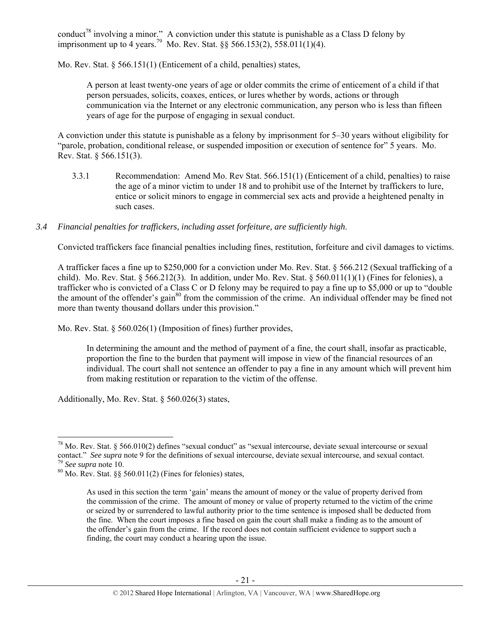conduct<sup>78</sup> involving a minor." A conviction under this statute is punishable as a Class D felony by imprisonment up to 4 years.<sup>79</sup> Mo. Rev. Stat. §§ 566.153(2), 558.011(1)(4).

Mo. Rev. Stat. § 566.151(1) (Enticement of a child, penalties) states,

A person at least twenty-one years of age or older commits the crime of enticement of a child if that person persuades, solicits, coaxes, entices, or lures whether by words, actions or through communication via the Internet or any electronic communication, any person who is less than fifteen years of age for the purpose of engaging in sexual conduct.

A conviction under this statute is punishable as a felony by imprisonment for 5–30 years without eligibility for "parole, probation, conditional release, or suspended imposition or execution of sentence for" 5 years. Mo. Rev. Stat. § 566.151(3).

- 3.3.1 Recommendation: Amend Mo. Rev Stat. 566.151(1) (Enticement of a child, penalties) to raise the age of a minor victim to under 18 and to prohibit use of the Internet by traffickers to lure, entice or solicit minors to engage in commercial sex acts and provide a heightened penalty in such cases.
- *3.4 Financial penalties for traffickers, including asset forfeiture, are sufficiently high*.

Convicted traffickers face financial penalties including fines, restitution, forfeiture and civil damages to victims.

A trafficker faces a fine up to \$250,000 for a conviction under Mo. Rev. Stat. § 566.212 (Sexual trafficking of a child). Mo. Rev. Stat.  $\S 566.212(3)$ . In addition, under Mo. Rev. Stat.  $\S 560.011(1)(1)$  (Fines for felonies), a trafficker who is convicted of a Class C or D felony may be required to pay a fine up to \$5,000 or up to "double the amount of the offender's gain<sup>80</sup> from the commission of the crime. An individual offender may be fined not more than twenty thousand dollars under this provision."

Mo. Rev. Stat. § 560.026(1) (Imposition of fines) further provides,

In determining the amount and the method of payment of a fine, the court shall, insofar as practicable, proportion the fine to the burden that payment will impose in view of the financial resources of an individual. The court shall not sentence an offender to pay a fine in any amount which will prevent him from making restitution or reparation to the victim of the offense.

Additionally, Mo. Rev. Stat. § 560.026(3) states,

  $^{78}$  Mo. Rev. Stat. § 566.010(2) defines "sexual conduct" as "sexual intercourse, deviate sexual intercourse or sexual contact." *See supra* note 9 for the definitions of sexual intercourse, deviate sexual intercourse, and sexual contact. <sup>79</sup> *See supra* note 10. 80 Mo. Rev. Stat. §§ 560.011(2) (Fines for felonies) states,

As used in this section the term 'gain' means the amount of money or the value of property derived from the commission of the crime. The amount of money or value of property returned to the victim of the crime or seized by or surrendered to lawful authority prior to the time sentence is imposed shall be deducted from the fine. When the court imposes a fine based on gain the court shall make a finding as to the amount of the offender's gain from the crime. If the record does not contain sufficient evidence to support such a finding, the court may conduct a hearing upon the issue.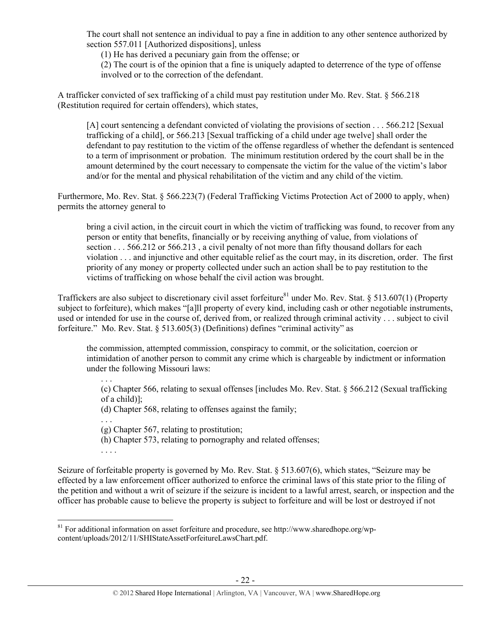The court shall not sentence an individual to pay a fine in addition to any other sentence authorized by section 557.011 [Authorized dispositions], unless

(1) He has derived a pecuniary gain from the offense; or

(2) The court is of the opinion that a fine is uniquely adapted to deterrence of the type of offense involved or to the correction of the defendant.

A trafficker convicted of sex trafficking of a child must pay restitution under Mo. Rev. Stat. § 566.218 (Restitution required for certain offenders), which states,

[A] court sentencing a defendant convicted of violating the provisions of section . . . 566.212 [Sexual trafficking of a child], or 566.213 [Sexual trafficking of a child under age twelve] shall order the defendant to pay restitution to the victim of the offense regardless of whether the defendant is sentenced to a term of imprisonment or probation. The minimum restitution ordered by the court shall be in the amount determined by the court necessary to compensate the victim for the value of the victim's labor and/or for the mental and physical rehabilitation of the victim and any child of the victim.

Furthermore, Mo. Rev. Stat. § 566.223(7) (Federal Trafficking Victims Protection Act of 2000 to apply, when) permits the attorney general to

bring a civil action, in the circuit court in which the victim of trafficking was found, to recover from any person or entity that benefits, financially or by receiving anything of value, from violations of section . . . 566.212 or 566.213, a civil penalty of not more than fifty thousand dollars for each violation . . . and injunctive and other equitable relief as the court may, in its discretion, order. The first priority of any money or property collected under such an action shall be to pay restitution to the victims of trafficking on whose behalf the civil action was brought.

Traffickers are also subject to discretionary civil asset forfeiture<sup>81</sup> under Mo. Rev. Stat. § 513.607(1) (Property subject to forfeiture), which makes "[a]ll property of every kind, including cash or other negotiable instruments, used or intended for use in the course of, derived from, or realized through criminal activity . . . subject to civil forfeiture." Mo. Rev. Stat. § 513.605(3) (Definitions) defines "criminal activity" as

the commission, attempted commission, conspiracy to commit, or the solicitation, coercion or intimidation of another person to commit any crime which is chargeable by indictment or information under the following Missouri laws:

. . . (c) Chapter 566, relating to sexual offenses [includes Mo. Rev. Stat. § 566.212 (Sexual trafficking of a child)];

(d) Chapter 568, relating to offenses against the family;

(g) Chapter 567, relating to prostitution;

(h) Chapter 573, relating to pornography and related offenses;

. . . .

. . .

Seizure of forfeitable property is governed by Mo. Rev. Stat. § 513.607(6), which states, "Seizure may be effected by a law enforcement officer authorized to enforce the criminal laws of this state prior to the filing of the petition and without a writ of seizure if the seizure is incident to a lawful arrest, search, or inspection and the officer has probable cause to believe the property is subject to forfeiture and will be lost or destroyed if not

<sup>&</sup>lt;sup>81</sup> For additional information on asset forfeiture and procedure, see http://www.sharedhope.org/wpcontent/uploads/2012/11/SHIStateAssetForfeitureLawsChart.pdf.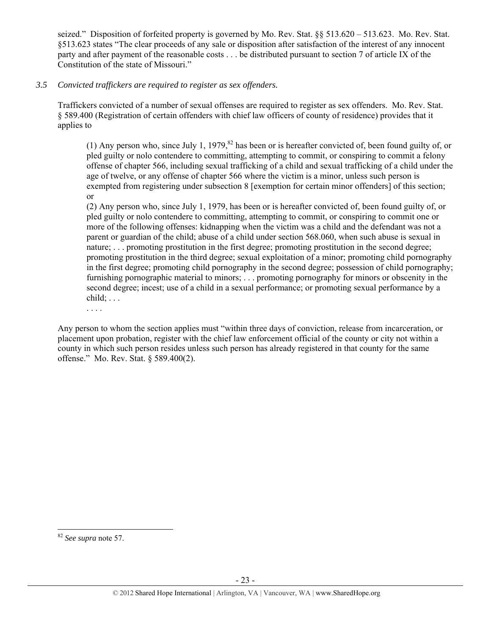seized." Disposition of forfeited property is governed by Mo. Rev. Stat. §§ 513.620 – 513.623. Mo. Rev. Stat. §513.623 states "The clear proceeds of any sale or disposition after satisfaction of the interest of any innocent party and after payment of the reasonable costs . . . be distributed pursuant to section 7 of article IX of the Constitution of the state of Missouri."

## *3.5 Convicted traffickers are required to register as sex offenders.*

Traffickers convicted of a number of sexual offenses are required to register as sex offenders. Mo. Rev. Stat. § 589.400 (Registration of certain offenders with chief law officers of county of residence) provides that it applies to

(1) Any person who, since July 1, 1979,  $82$  has been or is hereafter convicted of, been found guilty of, or pled guilty or nolo contendere to committing, attempting to commit, or conspiring to commit a felony offense of chapter 566, including sexual trafficking of a child and sexual trafficking of a child under the age of twelve, or any offense of chapter 566 where the victim is a minor, unless such person is exempted from registering under subsection 8 [exemption for certain minor offenders] of this section; or

(2) Any person who, since July 1, 1979, has been or is hereafter convicted of, been found guilty of, or pled guilty or nolo contendere to committing, attempting to commit, or conspiring to commit one or more of the following offenses: kidnapping when the victim was a child and the defendant was not a parent or guardian of the child; abuse of a child under section 568.060, when such abuse is sexual in nature; ... promoting prostitution in the first degree; promoting prostitution in the second degree; promoting prostitution in the third degree; sexual exploitation of a minor; promoting child pornography in the first degree; promoting child pornography in the second degree; possession of child pornography; furnishing pornographic material to minors; . . . promoting pornography for minors or obscenity in the second degree; incest; use of a child in a sexual performance; or promoting sexual performance by a  $child$ ;  $\ldots$ 

. . . .

Any person to whom the section applies must "within three days of conviction, release from incarceration, or placement upon probation, register with the chief law enforcement official of the county or city not within a county in which such person resides unless such person has already registered in that county for the same offense." Mo. Rev. Stat. § 589.400(2).

<sup>82</sup> *See supra* note 57.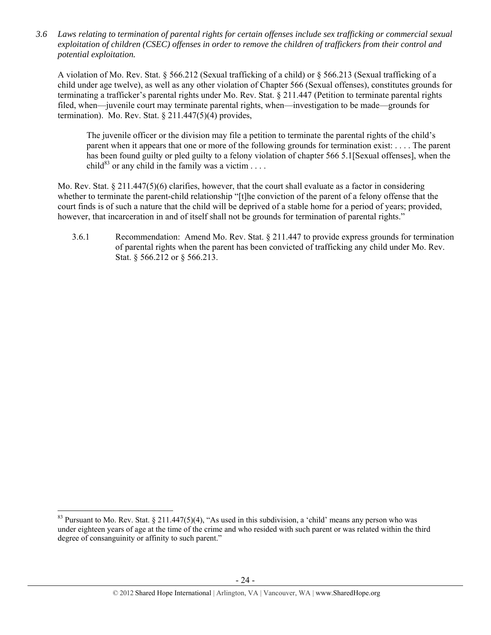*3.6 Laws relating to termination of parental rights for certain offenses include sex trafficking or commercial sexual exploitation of children (CSEC) offenses in order to remove the children of traffickers from their control and potential exploitation.* 

A violation of Mo. Rev. Stat. § 566.212 (Sexual trafficking of a child) or § 566.213 (Sexual trafficking of a child under age twelve), as well as any other violation of Chapter 566 (Sexual offenses), constitutes grounds for terminating a trafficker's parental rights under Mo. Rev. Stat. § 211.447 (Petition to terminate parental rights filed, when—juvenile court may terminate parental rights, when—investigation to be made—grounds for termination). Mo. Rev. Stat.  $\S 211.447(5)(4)$  provides,

The juvenile officer or the division may file a petition to terminate the parental rights of the child's parent when it appears that one or more of the following grounds for termination exist: . . . . The parent has been found guilty or pled guilty to a felony violation of chapter 566 5.1[Sexual offenses], when the child<sup>83</sup> or any child in the family was a victim . . . .

Mo. Rev. Stat. § 211.447(5)(6) clarifies, however, that the court shall evaluate as a factor in considering whether to terminate the parent-child relationship "[t]he conviction of the parent of a felony offense that the court finds is of such a nature that the child will be deprived of a stable home for a period of years; provided, however, that incarceration in and of itself shall not be grounds for termination of parental rights."

3.6.1 Recommendation: Amend Mo. Rev. Stat. § 211.447 to provide express grounds for termination of parental rights when the parent has been convicted of trafficking any child under Mo. Rev. Stat. § 566.212 or § 566.213.

<sup>&</sup>lt;sup>83</sup> Pursuant to Mo. Rev. Stat. § 211.447(5)(4), "As used in this subdivision, a 'child' means any person who was under eighteen years of age at the time of the crime and who resided with such parent or was related within the third degree of consanguinity or affinity to such parent."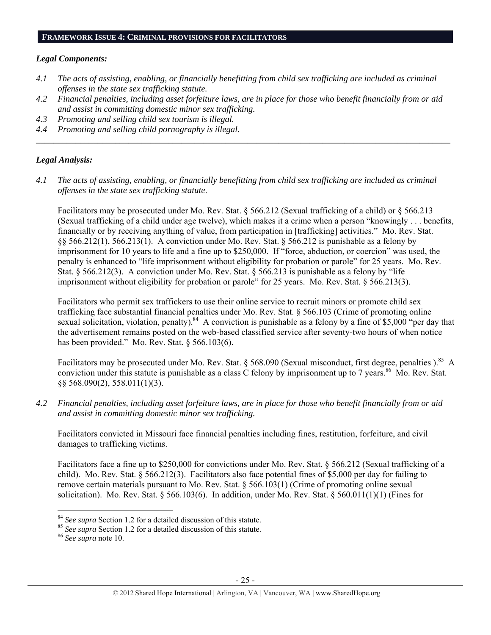#### **FRAMEWORK ISSUE 4: CRIMINAL PROVISIONS FOR FACILITATORS**

#### *Legal Components:*

- *4.1 The acts of assisting, enabling, or financially benefitting from child sex trafficking are included as criminal offenses in the state sex trafficking statute.*
- *4.2 Financial penalties, including asset forfeiture laws, are in place for those who benefit financially from or aid and assist in committing domestic minor sex trafficking.*

*\_\_\_\_\_\_\_\_\_\_\_\_\_\_\_\_\_\_\_\_\_\_\_\_\_\_\_\_\_\_\_\_\_\_\_\_\_\_\_\_\_\_\_\_\_\_\_\_\_\_\_\_\_\_\_\_\_\_\_\_\_\_\_\_\_\_\_\_\_\_\_\_\_\_\_\_\_\_\_\_\_\_\_\_\_\_\_\_\_\_\_\_\_\_* 

- *4.3 Promoting and selling child sex tourism is illegal.*
- *4.4 Promoting and selling child pornography is illegal.*

## *Legal Analysis:*

*4.1 The acts of assisting, enabling, or financially benefitting from child sex trafficking are included as criminal offenses in the state sex trafficking statute*.

Facilitators may be prosecuted under Mo. Rev. Stat. § 566.212 (Sexual trafficking of a child) or § 566.213 (Sexual trafficking of a child under age twelve), which makes it a crime when a person "knowingly . . . benefits, financially or by receiving anything of value, from participation in [trafficking] activities." Mo. Rev. Stat. §§ 566.212(1), 566.213(1). A conviction under Mo. Rev. Stat. § 566.212 is punishable as a felony by imprisonment for 10 years to life and a fine up to \$250,000. If "force, abduction, or coercion" was used, the penalty is enhanced to "life imprisonment without eligibility for probation or parole" for 25 years. Mo. Rev. Stat. § 566.212(3). A conviction under Mo. Rev. Stat. § 566.213 is punishable as a felony by "life" imprisonment without eligibility for probation or parole" for 25 years. Mo. Rev. Stat. § 566.213(3).

Facilitators who permit sex traffickers to use their online service to recruit minors or promote child sex trafficking face substantial financial penalties under Mo. Rev. Stat. § 566.103 (Crime of promoting online sexual solicitation, violation, penalty).<sup>84</sup> A conviction is punishable as a felony by a fine of \$5,000 "per day that the advertisement remains posted on the web-based classified service after seventy-two hours of when notice has been provided." Mo. Rev. Stat. § 566.103(6).

Facilitators may be prosecuted under Mo. Rev. Stat. § 568.090 (Sexual misconduct, first degree, penalties ).<sup>85</sup> A conviction under this statute is punishable as a class C felony by imprisonment up to 7 years.<sup>86</sup> Mo. Rev. Stat. §§ 568.090(2), 558.011(1)(3).

*4.2 Financial penalties, including asset forfeiture laws, are in place for those who benefit financially from or aid and assist in committing domestic minor sex trafficking.* 

Facilitators convicted in Missouri face financial penalties including fines, restitution, forfeiture, and civil damages to trafficking victims.

Facilitators face a fine up to \$250,000 for convictions under Mo. Rev. Stat. § 566.212 (Sexual trafficking of a child). Mo. Rev. Stat. § 566.212(3). Facilitators also face potential fines of \$5,000 per day for failing to remove certain materials pursuant to Mo. Rev. Stat. § 566.103(1) (Crime of promoting online sexual solicitation). Mo. Rev. Stat. § 566.103(6). In addition, under Mo. Rev. Stat. § 560.011(1)(1) (Fines for

<sup>84</sup> *See supra* Section 1.2 for a detailed discussion of this statute. 85 *See supra* Section 1.2 for a detailed discussion of this statute. 86 *See supra* note 10.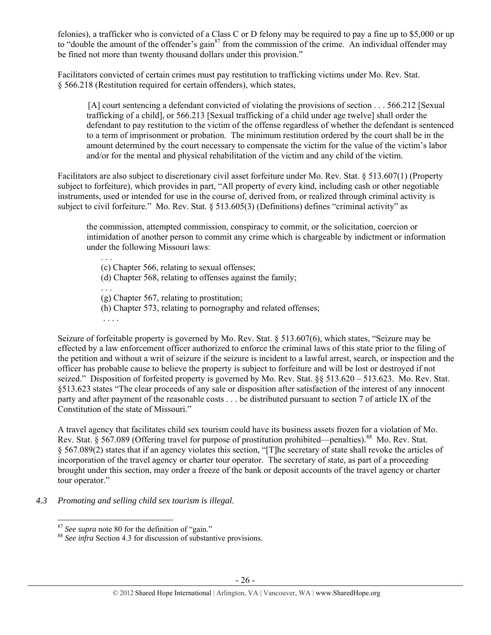felonies), a trafficker who is convicted of a Class C or D felony may be required to pay a fine up to \$5,000 or up to "double the amount of the offender's gain<sup>87</sup> from the commission of the crime. An individual offender may be fined not more than twenty thousand dollars under this provision."

Facilitators convicted of certain crimes must pay restitution to trafficking victims under Mo. Rev. Stat. § 566.218 (Restitution required for certain offenders), which states,

[A] court sentencing a defendant convicted of violating the provisions of section . . . 566.212 [Sexual trafficking of a child], or 566.213 [Sexual trafficking of a child under age twelve] shall order the defendant to pay restitution to the victim of the offense regardless of whether the defendant is sentenced to a term of imprisonment or probation. The minimum restitution ordered by the court shall be in the amount determined by the court necessary to compensate the victim for the value of the victim's labor and/or for the mental and physical rehabilitation of the victim and any child of the victim.

Facilitators are also subject to discretionary civil asset forfeiture under Mo. Rev. Stat. § 513.607(1) (Property subject to forfeiture), which provides in part, "All property of every kind, including cash or other negotiable instruments, used or intended for use in the course of, derived from, or realized through criminal activity is subject to civil forfeiture." Mo. Rev. Stat. § 513.605(3) (Definitions) defines "criminal activity" as

the commission, attempted commission, conspiracy to commit, or the solicitation, coercion or intimidation of another person to commit any crime which is chargeable by indictment or information under the following Missouri laws:

(c) Chapter 566, relating to sexual offenses;

(d) Chapter 568, relating to offenses against the family;

. . . (g) Chapter 567, relating to prostitution;

(h) Chapter 573, relating to pornography and related offenses;

. . . .

. . .

Seizure of forfeitable property is governed by Mo. Rev. Stat. § 513.607(6), which states, "Seizure may be effected by a law enforcement officer authorized to enforce the criminal laws of this state prior to the filing of the petition and without a writ of seizure if the seizure is incident to a lawful arrest, search, or inspection and the officer has probable cause to believe the property is subject to forfeiture and will be lost or destroyed if not seized." Disposition of forfeited property is governed by Mo. Rev. Stat. §§ 513.620 – 513.623. Mo. Rev. Stat. §513.623 states "The clear proceeds of any sale or disposition after satisfaction of the interest of any innocent party and after payment of the reasonable costs . . . be distributed pursuant to section 7 of article IX of the Constitution of the state of Missouri."

A travel agency that facilitates child sex tourism could have its business assets frozen for a violation of Mo. Rev. Stat. § 567.089 (Offering travel for purpose of prostitution prohibited—penalties).<sup>88</sup> Mo. Rev. Stat. § 567.089(2) states that if an agency violates this section, "[T]he secretary of state shall revoke the articles of incorporation of the travel agency or charter tour operator. The secretary of state, as part of a proceeding brought under this section, may order a freeze of the bank or deposit accounts of the travel agency or charter tour operator."

*4.3 Promoting and selling child sex tourism is illegal*.

 $87$  See supra note 80 for the definition of "gain."

<sup>&</sup>lt;sup>88</sup> See infra Section 4.3 for discussion of substantive provisions.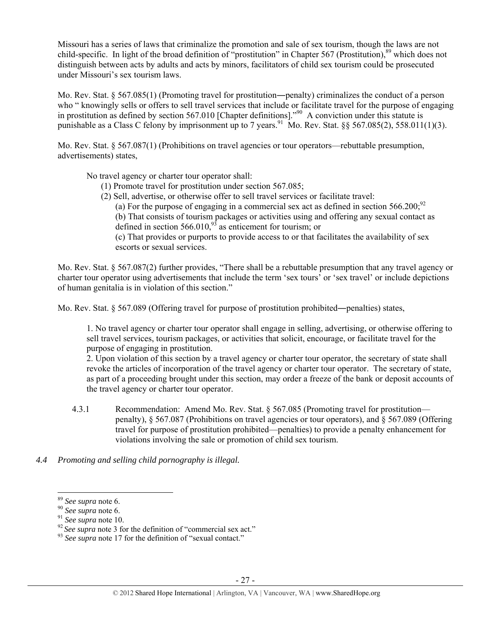Missouri has a series of laws that criminalize the promotion and sale of sex tourism, though the laws are not child-specific. In light of the broad definition of "prostitution" in Chapter 567 (Prostitution),<sup>89</sup> which does not distinguish between acts by adults and acts by minors, facilitators of child sex tourism could be prosecuted under Missouri's sex tourism laws.

Mo. Rev. Stat. § 567.085(1) (Promoting travel for prostitution―penalty) criminalizes the conduct of a person who " knowingly sells or offers to sell travel services that include or facilitate travel for the purpose of engaging in prostitution as defined by section 567.010 [Chapter definitions].<sup>"90</sup> A conviction under this statute is punishable as a Class C felony by imprisonment up to 7 years.<sup>91</sup> Mo. Rev. Stat. §§ 567.085(2), 558.011(1)(3).

Mo. Rev. Stat. § 567.087(1) (Prohibitions on travel agencies or tour operators—rebuttable presumption, advertisements) states,

No travel agency or charter tour operator shall:

- (1) Promote travel for prostitution under section 567.085;
- (2) Sell, advertise, or otherwise offer to sell travel services or facilitate travel:
	- (a) For the purpose of engaging in a commercial sex act as defined in section  $566.200$ ;<sup>92</sup>

(b) That consists of tourism packages or activities using and offering any sexual contact as defined in section  $566.010<sub>193</sub><sup>93</sup>$  as enticement for tourism; or

(c) That provides or purports to provide access to or that facilitates the availability of sex escorts or sexual services.

Mo. Rev. Stat. § 567.087(2) further provides, "There shall be a rebuttable presumption that any travel agency or charter tour operator using advertisements that include the term 'sex tours' or 'sex travel' or include depictions of human genitalia is in violation of this section."

Mo. Rev. Stat. § 567.089 (Offering travel for purpose of prostitution prohibited—penalties) states,

1. No travel agency or charter tour operator shall engage in selling, advertising, or otherwise offering to sell travel services, tourism packages, or activities that solicit, encourage, or facilitate travel for the purpose of engaging in prostitution.

2. Upon violation of this section by a travel agency or charter tour operator, the secretary of state shall revoke the articles of incorporation of the travel agency or charter tour operator. The secretary of state, as part of a proceeding brought under this section, may order a freeze of the bank or deposit accounts of the travel agency or charter tour operator.

- 4.3.1 Recommendation: Amend Mo. Rev. Stat. § 567.085 (Promoting travel for prostitution penalty), § 567.087 (Prohibitions on travel agencies or tour operators), and § 567.089 (Offering travel for purpose of prostitution prohibited—penalties) to provide a penalty enhancement for violations involving the sale or promotion of child sex tourism.
- *4.4 Promoting and selling child pornography is illegal.*

<sup>&</sup>lt;sup>89</sup> *See supra* note 6.<br><sup>90</sup> *See supra* note 10.<br><sup>91</sup> *See supra* note 3 for the definition of "commercial sex act."<br><sup>93</sup> *See supra* note 17 for the definition of "sexual contact."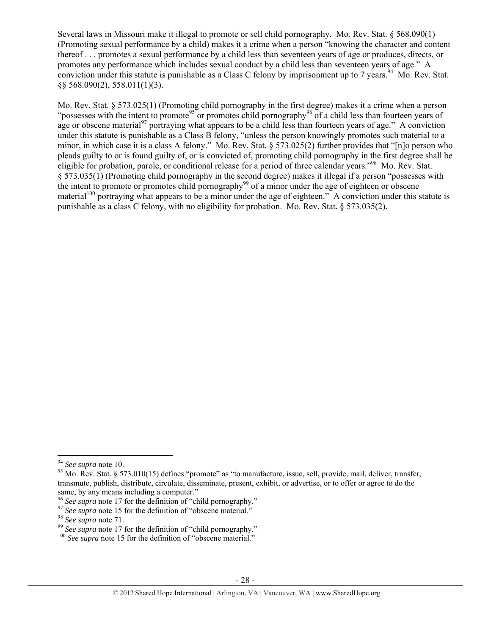Several laws in Missouri make it illegal to promote or sell child pornography. Mo. Rev. Stat. § 568.090(1) (Promoting sexual performance by a child) makes it a crime when a person "knowing the character and content thereof . . . promotes a sexual performance by a child less than seventeen years of age or produces, directs, or promotes any performance which includes sexual conduct by a child less than seventeen years of age." A conviction under this statute is punishable as a Class C felony by imprisonment up to 7 years.<sup>94</sup> Mo. Rev. Stat. §§ 568.090(2), 558.011(1)(3).

Mo. Rev. Stat. § 573.025(1) (Promoting child pornography in the first degree) makes it a crime when a person "possesses with the intent to promote<sup>95</sup> or promotes child pornography<sup>96</sup> of a child less than fourteen years of age or obscene material<sup>97</sup> portraying what appears to be a child less than fourteen years of age." A conviction under this statute is punishable as a Class B felony, "unless the person knowingly promotes such material to a minor, in which case it is a class A felony." Mo. Rev. Stat. § 573.025(2) further provides that "[n]o person who pleads guilty to or is found guilty of, or is convicted of, promoting child pornography in the first degree shall be eligible for probation, parole, or conditional release for a period of three calendar years."98 Mo. Rev. Stat. § 573.035(1) (Promoting child pornography in the second degree) makes it illegal if a person "possesses with the intent to promote or promotes child pornography<sup>99</sup> of a minor under the age of eighteen or obscene material<sup>100</sup> portraying what appears to be a minor under the age of eighteen." A conviction under this statute is punishable as a class C felony, with no eligibility for probation. Mo. Rev. Stat. § 573.035(2).

<sup>&</sup>lt;sup>94</sup> *See supra* note 10.<br><sup>95</sup> Mo. Rev. Stat. § 573.010(15) defines "promote" as "to manufacture, issue, sell, provide, mail, deliver, transfer, transmute, publish, distribute, circulate, disseminate, present, exhibit, or advertise, or to offer or agree to do the same, by any means including a computer."<br><sup>96</sup> See supra note 17 for the definition of "child pornography."

<sup>&</sup>lt;sup>97</sup> See supra note 15 for the definition of "obscene material."<br><sup>98</sup> See supra note 71.<br><sup>99</sup> See supra note 17 for the definition of "child pornography."<br><sup>100</sup> See supra note 15 for the definition of "obscene material."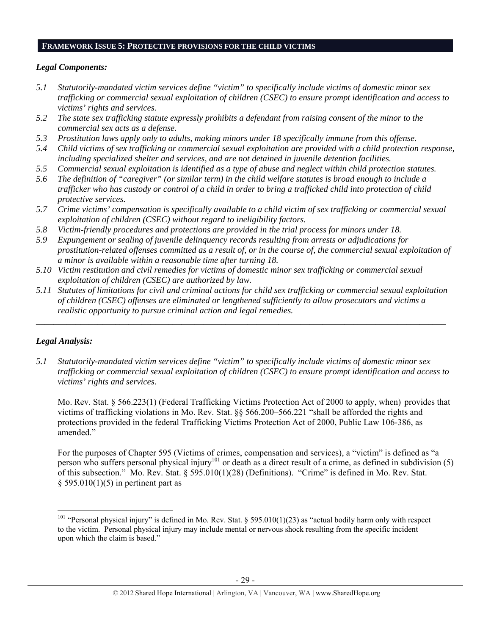#### **FRAMEWORK ISSUE 5: PROTECTIVE PROVISIONS FOR THE CHILD VICTIMS**

## *Legal Components:*

- *5.1 Statutorily-mandated victim services define "victim" to specifically include victims of domestic minor sex trafficking or commercial sexual exploitation of children (CSEC) to ensure prompt identification and access to victims' rights and services.*
- *5.2 The state sex trafficking statute expressly prohibits a defendant from raising consent of the minor to the commercial sex acts as a defense.*
- *5.3 Prostitution laws apply only to adults, making minors under 18 specifically immune from this offense.*
- *5.4 Child victims of sex trafficking or commercial sexual exploitation are provided with a child protection response, including specialized shelter and services, and are not detained in juvenile detention facilities.*
- *5.5 Commercial sexual exploitation is identified as a type of abuse and neglect within child protection statutes.*
- *5.6 The definition of "caregiver" (or similar term) in the child welfare statutes is broad enough to include a trafficker who has custody or control of a child in order to bring a trafficked child into protection of child protective services.*
- *5.7 Crime victims' compensation is specifically available to a child victim of sex trafficking or commercial sexual exploitation of children (CSEC) without regard to ineligibility factors.*
- *5.8 Victim-friendly procedures and protections are provided in the trial process for minors under 18.*
- *5.9 Expungement or sealing of juvenile delinquency records resulting from arrests or adjudications for prostitution-related offenses committed as a result of, or in the course of, the commercial sexual exploitation of a minor is available within a reasonable time after turning 18.*
- *5.10 Victim restitution and civil remedies for victims of domestic minor sex trafficking or commercial sexual exploitation of children (CSEC) are authorized by law.*
- *5.11 Statutes of limitations for civil and criminal actions for child sex trafficking or commercial sexual exploitation of children (CSEC) offenses are eliminated or lengthened sufficiently to allow prosecutors and victims a realistic opportunity to pursue criminal action and legal remedies.*

*\_\_\_\_\_\_\_\_\_\_\_\_\_\_\_\_\_\_\_\_\_\_\_\_\_\_\_\_\_\_\_\_\_\_\_\_\_\_\_\_\_\_\_\_\_\_\_\_\_\_\_\_\_\_\_\_\_\_\_\_\_\_\_\_\_\_\_\_\_\_\_\_\_\_\_\_\_\_\_\_\_\_\_\_\_\_\_\_\_\_\_\_\_* 

# *Legal Analysis:*

*5.1 Statutorily-mandated victim services define "victim" to specifically include victims of domestic minor sex trafficking or commercial sexual exploitation of children (CSEC) to ensure prompt identification and access to victims' rights and services.* 

Mo. Rev. Stat. § 566.223(1) (Federal Trafficking Victims Protection Act of 2000 to apply, when) provides that victims of trafficking violations in Mo. Rev. Stat. §§ 566.200–566.221 "shall be afforded the rights and protections provided in the federal Trafficking Victims Protection Act of 2000, Public Law 106-386, as amended."

For the purposes of Chapter 595 (Victims of crimes, compensation and services), a "victim" is defined as "a person who suffers personal physical injury<sup>101</sup> or death as a direct result of a crime, as defined in subdivision  $(5)$ of this subsection." Mo. Rev. Stat. § 595.010(1)(28) (Definitions). "Crime" is defined in Mo. Rev. Stat.  $§$  595.010(1)(5) in pertinent part as

<sup>&</sup>lt;sup>101</sup> "Personal physical injury" is defined in Mo. Rev. Stat. § 595.010(1)(23) as "actual bodily harm only with respect to the victim. Personal physical injury may include mental or nervous shock resulting from the specific incident upon which the claim is based."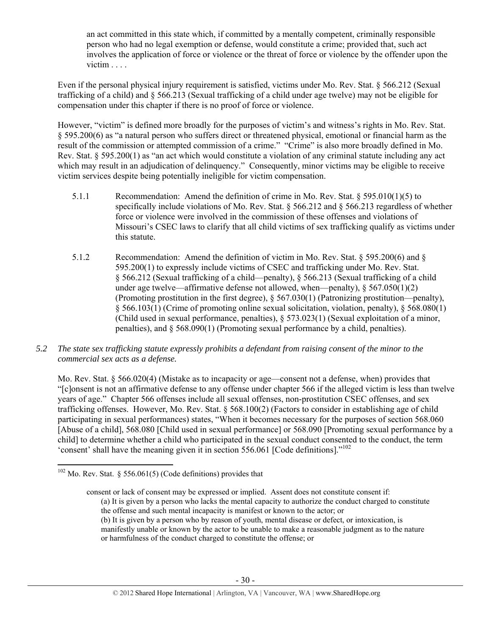an act committed in this state which, if committed by a mentally competent, criminally responsible person who had no legal exemption or defense, would constitute a crime; provided that, such act involves the application of force or violence or the threat of force or violence by the offender upon the victim . . . .

Even if the personal physical injury requirement is satisfied, victims under Mo. Rev. Stat. § 566.212 (Sexual trafficking of a child) and § 566.213 (Sexual trafficking of a child under age twelve) may not be eligible for compensation under this chapter if there is no proof of force or violence.

However, "victim" is defined more broadly for the purposes of victim's and witness's rights in Mo. Rev. Stat. § 595.200(6) as "a natural person who suffers direct or threatened physical, emotional or financial harm as the result of the commission or attempted commission of a crime." "Crime" is also more broadly defined in Mo. Rev. Stat. § 595.200(1) as "an act which would constitute a violation of any criminal statute including any act which may result in an adjudication of delinquency." Consequently, minor victims may be eligible to receive victim services despite being potentially ineligible for victim compensation.

- 5.1.1 Recommendation: Amend the definition of crime in Mo. Rev. Stat. § 595.010(1)(5) to specifically include violations of Mo. Rev. Stat. § 566.212 and § 566.213 regardless of whether force or violence were involved in the commission of these offenses and violations of Missouri's CSEC laws to clarify that all child victims of sex trafficking qualify as victims under this statute.
- 5.1.2 Recommendation: Amend the definition of victim in Mo. Rev. Stat. § 595.200(6) and § 595.200(1) to expressly include victims of CSEC and trafficking under Mo. Rev. Stat. § 566.212 (Sexual trafficking of a child—penalty), § 566.213 (Sexual trafficking of a child under age twelve—affirmative defense not allowed, when—penalty),  $\S 567.050(1)(2)$ (Promoting prostitution in the first degree), § 567.030(1) (Patronizing prostitution—penalty), § 566.103(1) (Crime of promoting online sexual solicitation, violation, penalty), § 568.080(1) (Child used in sexual performance, penalties), § 573.023(1) (Sexual exploitation of a minor, penalties), and § 568.090(1) (Promoting sexual performance by a child, penalties).
- *5.2 The state sex trafficking statute expressly prohibits a defendant from raising consent of the minor to the commercial sex acts as a defense.*

Mo. Rev. Stat. § 566.020(4) (Mistake as to incapacity or age—consent not a defense, when) provides that "[c]onsent is not an affirmative defense to any offense under chapter 566 if the alleged victim is less than twelve years of age." Chapter 566 offenses include all sexual offenses, non-prostitution CSEC offenses, and sex trafficking offenses. However, Mo. Rev. Stat. § 568.100(2) (Factors to consider in establishing age of child participating in sexual performances) states, "When it becomes necessary for the purposes of section 568.060 [Abuse of a child], 568.080 [Child used in sexual performance] or 568.090 [Promoting sexual performance by a child] to determine whether a child who participated in the sexual conduct consented to the conduct, the term 'consent' shall have the meaning given it in section 556.061 [Code definitions]."102

  $102$  Mo. Rev. Stat. § 556.061(5) (Code definitions) provides that

consent or lack of consent may be expressed or implied. Assent does not constitute consent if: (a) It is given by a person who lacks the mental capacity to authorize the conduct charged to constitute the offense and such mental incapacity is manifest or known to the actor; or (b) It is given by a person who by reason of youth, mental disease or defect, or intoxication, is manifestly unable or known by the actor to be unable to make a reasonable judgment as to the nature or harmfulness of the conduct charged to constitute the offense; or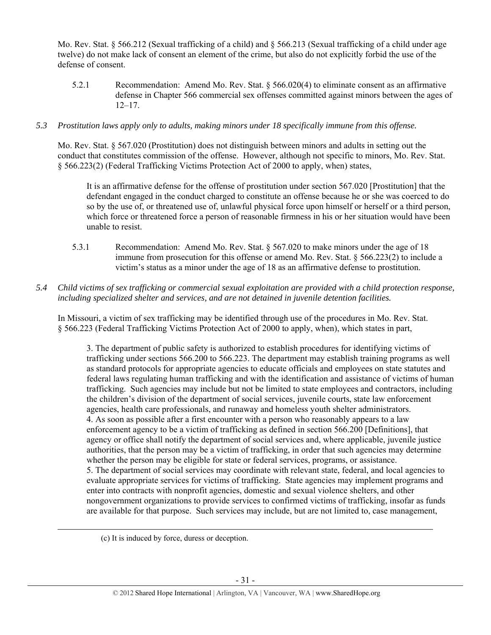Mo. Rev. Stat. § 566.212 (Sexual trafficking of a child) and § 566.213 (Sexual trafficking of a child under age twelve) do not make lack of consent an element of the crime, but also do not explicitly forbid the use of the defense of consent.

5.2.1 Recommendation: Amend Mo. Rev. Stat. § 566.020(4) to eliminate consent as an affirmative defense in Chapter 566 commercial sex offenses committed against minors between the ages of 12–17.

## *5.3 Prostitution laws apply only to adults, making minors under 18 specifically immune from this offense.*

Mo. Rev. Stat. § 567.020 (Prostitution) does not distinguish between minors and adults in setting out the conduct that constitutes commission of the offense. However, although not specific to minors, Mo. Rev. Stat. § 566.223(2) (Federal Trafficking Victims Protection Act of 2000 to apply, when) states,

It is an affirmative defense for the offense of prostitution under section 567.020 [Prostitution] that the defendant engaged in the conduct charged to constitute an offense because he or she was coerced to do so by the use of, or threatened use of, unlawful physical force upon himself or herself or a third person, which force or threatened force a person of reasonable firmness in his or her situation would have been unable to resist.

5.3.1 Recommendation: Amend Mo. Rev. Stat. § 567.020 to make minors under the age of 18 immune from prosecution for this offense or amend Mo. Rev. Stat.  $\S$  566.223(2) to include a victim's status as a minor under the age of 18 as an affirmative defense to prostitution.

## *5.4 Child victims of sex trafficking or commercial sexual exploitation are provided with a child protection response, including specialized shelter and services, and are not detained in juvenile detention facilities.*

In Missouri, a victim of sex trafficking may be identified through use of the procedures in Mo. Rev. Stat. § 566.223 (Federal Trafficking Victims Protection Act of 2000 to apply, when), which states in part,

3. The department of public safety is authorized to establish procedures for identifying victims of trafficking under sections 566.200 to 566.223. The department may establish training programs as well as standard protocols for appropriate agencies to educate officials and employees on state statutes and federal laws regulating human trafficking and with the identification and assistance of victims of human trafficking. Such agencies may include but not be limited to state employees and contractors, including the children's division of the department of social services, juvenile courts, state law enforcement agencies, health care professionals, and runaway and homeless youth shelter administrators. 4. As soon as possible after a first encounter with a person who reasonably appears to a law enforcement agency to be a victim of trafficking as defined in section 566.200 [Definitions], that agency or office shall notify the department of social services and, where applicable, juvenile justice authorities, that the person may be a victim of trafficking, in order that such agencies may determine whether the person may be eligible for state or federal services, programs, or assistance. 5. The department of social services may coordinate with relevant state, federal, and local agencies to evaluate appropriate services for victims of trafficking. State agencies may implement programs and enter into contracts with nonprofit agencies, domestic and sexual violence shelters, and other nongovernment organizations to provide services to confirmed victims of trafficking, insofar as funds are available for that purpose. Such services may include, but are not limited to, case management,

(c) It is induced by force, duress or deception.

<u> Andrewski politika (za obrazu za obrazu za obrazu za obrazu za obrazu za obrazu za obrazu za obrazu za obrazu</u>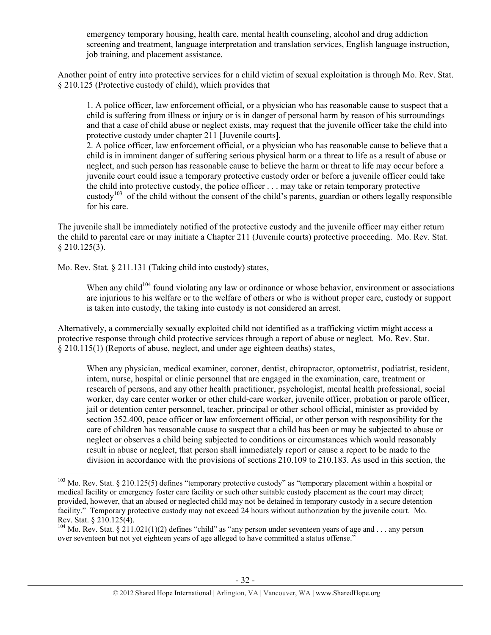emergency temporary housing, health care, mental health counseling, alcohol and drug addiction screening and treatment, language interpretation and translation services, English language instruction, job training, and placement assistance.

Another point of entry into protective services for a child victim of sexual exploitation is through Mo. Rev. Stat. § 210.125 (Protective custody of child), which provides that

1. A police officer, law enforcement official, or a physician who has reasonable cause to suspect that a child is suffering from illness or injury or is in danger of personal harm by reason of his surroundings and that a case of child abuse or neglect exists, may request that the juvenile officer take the child into protective custody under chapter 211 [Juvenile courts].

2. A police officer, law enforcement official, or a physician who has reasonable cause to believe that a child is in imminent danger of suffering serious physical harm or a threat to life as a result of abuse or neglect, and such person has reasonable cause to believe the harm or threat to life may occur before a juvenile court could issue a temporary protective custody order or before a juvenile officer could take the child into protective custody, the police officer . . . may take or retain temporary protective custody<sup>103</sup> of the child without the consent of the child's parents, guardian or others legally responsible for his care.

The juvenile shall be immediately notified of the protective custody and the juvenile officer may either return the child to parental care or may initiate a Chapter 211 (Juvenile courts) protective proceeding. Mo. Rev. Stat.  $§$  210.125(3).

Mo. Rev. Stat. § 211.131 (Taking child into custody) states,

When any child<sup>104</sup> found violating any law or ordinance or whose behavior, environment or associations are injurious to his welfare or to the welfare of others or who is without proper care, custody or support is taken into custody, the taking into custody is not considered an arrest.

Alternatively, a commercially sexually exploited child not identified as a trafficking victim might access a protective response through child protective services through a report of abuse or neglect. Mo. Rev. Stat. § 210.115(1) (Reports of abuse, neglect, and under age eighteen deaths) states,

When any physician, medical examiner, coroner, dentist, chiropractor, optometrist, podiatrist, resident, intern, nurse, hospital or clinic personnel that are engaged in the examination, care, treatment or research of persons, and any other health practitioner, psychologist, mental health professional, social worker, day care center worker or other child-care worker, juvenile officer, probation or parole officer, jail or detention center personnel, teacher, principal or other school official, minister as provided by section 352.400, peace officer or law enforcement official, or other person with responsibility for the care of children has reasonable cause to suspect that a child has been or may be subjected to abuse or neglect or observes a child being subjected to conditions or circumstances which would reasonably result in abuse or neglect, that person shall immediately report or cause a report to be made to the division in accordance with the provisions of sections 210.109 to 210.183. As used in this section, the

 $103$  Mo. Rev. Stat. § 210.125(5) defines "temporary protective custody" as "temporary placement within a hospital or medical facility or emergency foster care facility or such other suitable custody placement as the court may direct; provided, however, that an abused or neglected child may not be detained in temporary custody in a secure detention facility." Temporary protective custody may not exceed 24 hours without authorization by the juvenile court. Mo. Rev. Stat. § 210.125(4).

<sup>&</sup>lt;sup>104</sup> Mo. Rev. Stat. § 211.021(1)(2) defines "child" as "any person under seventeen years of age and . . . any person over seventeen but not yet eighteen years of age alleged to have committed a status offense."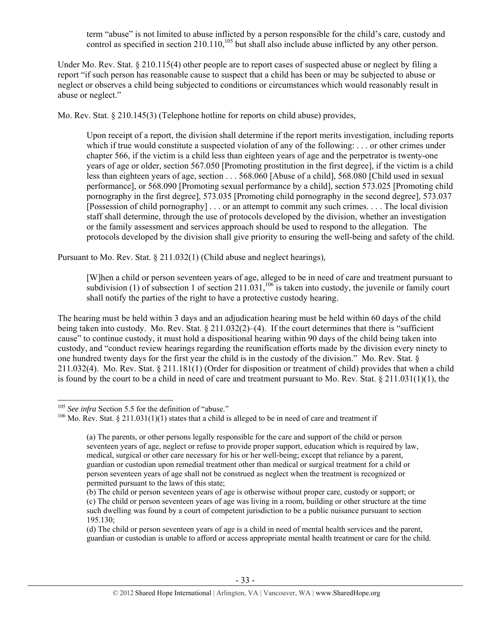term "abuse" is not limited to abuse inflicted by a person responsible for the child's care, custody and control as specified in section  $210.110$ ,<sup>105</sup> but shall also include abuse inflicted by any other person.

Under Mo. Rev. Stat. § 210.115(4) other people are to report cases of suspected abuse or neglect by filing a report "if such person has reasonable cause to suspect that a child has been or may be subjected to abuse or neglect or observes a child being subjected to conditions or circumstances which would reasonably result in abuse or neglect."

Mo. Rev. Stat. § 210.145(3) (Telephone hotline for reports on child abuse) provides,

Upon receipt of a report, the division shall determine if the report merits investigation, including reports which if true would constitute a suspected violation of any of the following: . . . or other crimes under chapter 566, if the victim is a child less than eighteen years of age and the perpetrator is twenty-one years of age or older, section 567.050 [Promoting prostitution in the first degree], if the victim is a child less than eighteen years of age, section . . . 568.060 [Abuse of a child], 568.080 [Child used in sexual performance], or 568.090 [Promoting sexual performance by a child], section 573.025 [Promoting child pornography in the first degree], 573.035 [Promoting child pornography in the second degree], 573.037 [Possession of child pornography] . . . or an attempt to commit any such crimes. . . . The local division staff shall determine, through the use of protocols developed by the division, whether an investigation or the family assessment and services approach should be used to respond to the allegation. The protocols developed by the division shall give priority to ensuring the well-being and safety of the child.

Pursuant to Mo. Rev. Stat. § 211.032(1) (Child abuse and neglect hearings),

[W]hen a child or person seventeen years of age, alleged to be in need of care and treatment pursuant to subdivision (1) of subsection 1 of section 211.031,<sup>106</sup> is taken into custody, the juvenile or family court shall notify the parties of the right to have a protective custody hearing.

The hearing must be held within 3 days and an adjudication hearing must be held within 60 days of the child being taken into custody. Mo. Rev. Stat.  $\S 211.032(2)$ –(4). If the court determines that there is "sufficient cause" to continue custody, it must hold a dispositional hearing within 90 days of the child being taken into custody, and "conduct review hearings regarding the reunification efforts made by the division every ninety to one hundred twenty days for the first year the child is in the custody of the division." Mo. Rev. Stat. § 211.032(4). Mo. Rev. Stat. § 211.181(1) (Order for disposition or treatment of child) provides that when a child is found by the court to be a child in need of care and treatment pursuant to Mo. Rev. Stat.  $\S 211.031(1)(1)$ , the

<sup>&</sup>lt;sup>105</sup> *See infra* Section 5.5 for the definition of "abuse."<br><sup>106</sup> Mo. Rev. Stat. § 211.031(1)(1) states that a child is alleged to be in need of care and treatment if

<sup>(</sup>a) The parents, or other persons legally responsible for the care and support of the child or person seventeen years of age, neglect or refuse to provide proper support, education which is required by law, medical, surgical or other care necessary for his or her well-being; except that reliance by a parent, guardian or custodian upon remedial treatment other than medical or surgical treatment for a child or person seventeen years of age shall not be construed as neglect when the treatment is recognized or permitted pursuant to the laws of this state;

<sup>(</sup>b) The child or person seventeen years of age is otherwise without proper care, custody or support; or (c) The child or person seventeen years of age was living in a room, building or other structure at the time such dwelling was found by a court of competent jurisdiction to be a public nuisance pursuant to section 195.130;

<sup>(</sup>d) The child or person seventeen years of age is a child in need of mental health services and the parent, guardian or custodian is unable to afford or access appropriate mental health treatment or care for the child.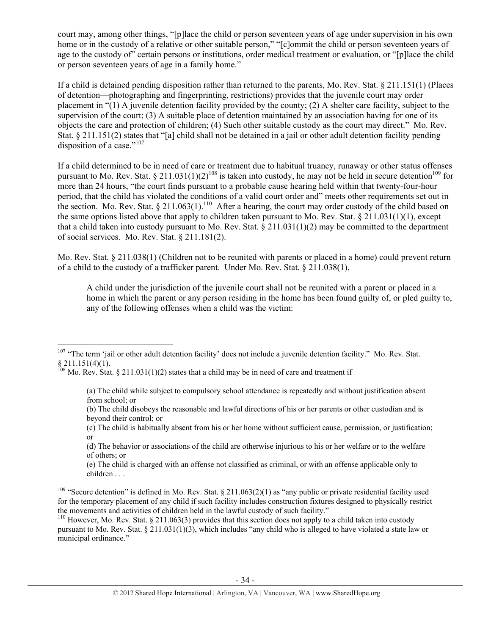court may, among other things, "[p]lace the child or person seventeen years of age under supervision in his own home or in the custody of a relative or other suitable person," "[c]ommit the child or person seventeen years of age to the custody of" certain persons or institutions, order medical treatment or evaluation, or "[p]lace the child or person seventeen years of age in a family home."

If a child is detained pending disposition rather than returned to the parents, Mo. Rev. Stat. § 211.151(1) (Places of detention—photographing and fingerprinting, restrictions) provides that the juvenile court may order placement in "(1) A juvenile detention facility provided by the county; (2) A shelter care facility, subject to the supervision of the court; (3) A suitable place of detention maintained by an association having for one of its objects the care and protection of children; (4) Such other suitable custody as the court may direct." Mo. Rev. Stat. § 211.151(2) states that "[a] child shall not be detained in a jail or other adult detention facility pending disposition of a case."<sup>107</sup>

If a child determined to be in need of care or treatment due to habitual truancy, runaway or other status offenses pursuant to Mo. Rev. Stat. § 211.031(1)(2)<sup>108</sup> is taken into custody, he may not be held in secure detention<sup>109</sup> for more than 24 hours, "the court finds pursuant to a probable cause hearing held within that twenty-four-hour period, that the child has violated the conditions of a valid court order and" meets other requirements set out in the section. Mo. Rev. Stat. § 211.063(1).<sup>110</sup> After a hearing, the court may order custody of the child based on the same options listed above that apply to children taken pursuant to Mo. Rev. Stat.  $\S 211.031(1)(1)$ , except that a child taken into custody pursuant to Mo. Rev. Stat. § 211.031(1)(2) may be committed to the department of social services. Mo. Rev. Stat. § 211.181(2).

Mo. Rev. Stat. § 211.038(1) (Children not to be reunited with parents or placed in a home) could prevent return of a child to the custody of a trafficker parent. Under Mo. Rev. Stat. § 211.038(1),

A child under the jurisdiction of the juvenile court shall not be reunited with a parent or placed in a home in which the parent or any person residing in the home has been found guilty of, or pled guilty to, any of the following offenses when a child was the victim:

 $107$  "The term 'jail or other adult detention facility' does not include a juvenile detention facility." Mo. Rev. Stat.  $§ 211.151(4)(1).$ 

 $^{108}$  Mo. Rev. Stat. § 211.031(1)(2) states that a child may be in need of care and treatment if

<sup>(</sup>a) The child while subject to compulsory school attendance is repeatedly and without justification absent from school; or

<sup>(</sup>b) The child disobeys the reasonable and lawful directions of his or her parents or other custodian and is beyond their control; or

<sup>(</sup>c) The child is habitually absent from his or her home without sufficient cause, permission, or justification; or

<sup>(</sup>d) The behavior or associations of the child are otherwise injurious to his or her welfare or to the welfare of others; or

<sup>(</sup>e) The child is charged with an offense not classified as criminal, or with an offense applicable only to children . . .

<sup>&</sup>lt;sup>109</sup> "Secure detention" is defined in Mo. Rev. Stat.  $\S 211.063(2)(1)$  as "any public or private residential facility used for the temporary placement of any child if such facility includes construction fixtures designed to physically restrict the movements and activities of children held in the lawful custody of such facility."

<sup>&</sup>lt;sup>110</sup> However, Mo. Rev. Stat. § 211.063(3) provides that this section does not apply to a child taken into custody pursuant to Mo. Rev. Stat. § 211.031(1)(3), which includes "any child who is alleged to have violated a state law or municipal ordinance."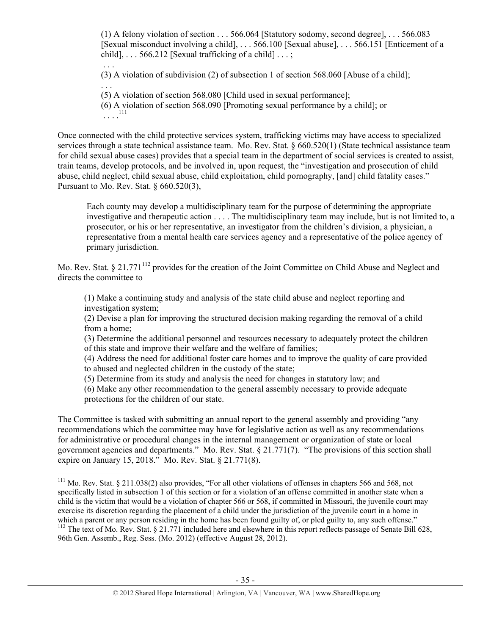(1) A felony violation of section . . . 566.064 [Statutory sodomy, second degree], . . . 566.083 [Sexual misconduct involving a child], . . . 566.100 [Sexual abuse], . . . 566.151 [Enticement of a child],  $\ldots$  566.212 [Sexual trafficking of a child]  $\ldots$ ;

 . . . (3) A violation of subdivision (2) of subsection 1 of section 568.060 [Abuse of a child]; . . .

(5) A violation of section 568.080 [Child used in sexual performance];

(6) A violation of section 568.090 [Promoting sexual performance by a child]; or  $\ldots$ .<sup>111</sup>

Once connected with the child protective services system, trafficking victims may have access to specialized services through a state technical assistance team. Mo. Rev. Stat. § 660.520(1) (State technical assistance team for child sexual abuse cases) provides that a special team in the department of social services is created to assist, train teams, develop protocols, and be involved in, upon request, the "investigation and prosecution of child abuse, child neglect, child sexual abuse, child exploitation, child pornography, [and] child fatality cases." Pursuant to Mo. Rev. Stat. § 660.520(3),

Each county may develop a multidisciplinary team for the purpose of determining the appropriate investigative and therapeutic action . . . . The multidisciplinary team may include, but is not limited to, a prosecutor, or his or her representative, an investigator from the children's division, a physician, a representative from a mental health care services agency and a representative of the police agency of primary jurisdiction.

Mo. Rev. Stat. § 21.771<sup>112</sup> provides for the creation of the Joint Committee on Child Abuse and Neglect and directs the committee to

(1) Make a continuing study and analysis of the state child abuse and neglect reporting and investigation system;

(2) Devise a plan for improving the structured decision making regarding the removal of a child from a home;

(3) Determine the additional personnel and resources necessary to adequately protect the children of this state and improve their welfare and the welfare of families;

(4) Address the need for additional foster care homes and to improve the quality of care provided to abused and neglected children in the custody of the state;

(5) Determine from its study and analysis the need for changes in statutory law; and

(6) Make any other recommendation to the general assembly necessary to provide adequate protections for the children of our state.

The Committee is tasked with submitting an annual report to the general assembly and providing "any recommendations which the committee may have for legislative action as well as any recommendations for administrative or procedural changes in the internal management or organization of state or local government agencies and departments." Mo. Rev. Stat. § 21.771(7). "The provisions of this section shall expire on January 15, 2018." Mo. Rev. Stat. § 21.771(8).

 $111$  Mo. Rev. Stat. § 211.038(2) also provides, "For all other violations of offenses in chapters 566 and 568, not specifically listed in subsection 1 of this section or for a violation of an offense committed in another state when a child is the victim that would be a violation of chapter 566 or 568, if committed in Missouri, the juvenile court may exercise its discretion regarding the placement of a child under the jurisdiction of the juvenile court in a home in which a parent or any person residing in the home has been found guilty of, or pled guilty to, any such offense." <sup>112</sup> The text of Mo. Rev. Stat. § 21.771 included here and elsewhere in this report reflects passage of Senate Bill 628, 96th Gen. Assemb., Reg. Sess. (Mo. 2012) (effective August 28, 2012).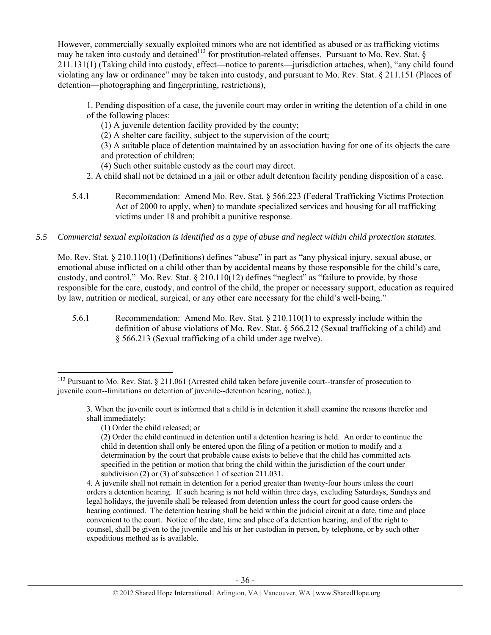However, commercially sexually exploited minors who are not identified as abused or as trafficking victims may be taken into custody and detained<sup>113</sup> for prostitution-related offenses. Pursuant to Mo. Rev. Stat.  $\delta$ 211.131(1) (Taking child into custody, effect—notice to parents—jurisdiction attaches, when), "any child found violating any law or ordinance" may be taken into custody, and pursuant to Mo. Rev. Stat. § 211.151 (Places of detention—photographing and fingerprinting, restrictions),

1. Pending disposition of a case, the juvenile court may order in writing the detention of a child in one of the following places:

(1) A juvenile detention facility provided by the county;

(2) A shelter care facility, subject to the supervision of the court;

(3) A suitable place of detention maintained by an association having for one of its objects the care and protection of children;

- (4) Such other suitable custody as the court may direct.
- 2. A child shall not be detained in a jail or other adult detention facility pending disposition of a case.
- 5.4.1 Recommendation: Amend Mo. Rev. Stat. § 566.223 (Federal Trafficking Victims Protection Act of 2000 to apply, when) to mandate specialized services and housing for all trafficking victims under 18 and prohibit a punitive response.
- *5.5 Commercial sexual exploitation is identified as a type of abuse and neglect within child protection statutes.*

Mo. Rev. Stat. § 210.110(1) (Definitions) defines "abuse" in part as "any physical injury, sexual abuse, or emotional abuse inflicted on a child other than by accidental means by those responsible for the child's care, custody, and control." Mo. Rev. Stat. § 210.110(12) defines "neglect" as "failure to provide, by those responsible for the care, custody, and control of the child, the proper or necessary support, education as required by law, nutrition or medical, surgical, or any other care necessary for the child's well-being."

5.6.1 Recommendation: Amend Mo. Rev. Stat. § 210.110(1) to expressly include within the definition of abuse violations of Mo. Rev. Stat. § 566.212 (Sexual trafficking of a child) and § 566.213 (Sexual trafficking of a child under age twelve).

 $113$  Pursuant to Mo. Rev. Stat. § 211.061 (Arrested child taken before juvenile court--transfer of prosecution to juvenile court--limitations on detention of juvenile--detention hearing, notice.),

<sup>3.</sup> When the juvenile court is informed that a child is in detention it shall examine the reasons therefor and shall immediately:

<sup>(1)</sup> Order the child released; or

<sup>(2)</sup> Order the child continued in detention until a detention hearing is held. An order to continue the child in detention shall only be entered upon the filing of a petition or motion to modify and a determination by the court that probable cause exists to believe that the child has committed acts specified in the petition or motion that bring the child within the jurisdiction of the court under subdivision (2) or (3) of subsection 1 of section 211.031.

<sup>4.</sup> A juvenile shall not remain in detention for a period greater than twenty-four hours unless the court orders a detention hearing. If such hearing is not held within three days, excluding Saturdays, Sundays and legal holidays, the juvenile shall be released from detention unless the court for good cause orders the hearing continued. The detention hearing shall be held within the judicial circuit at a date, time and place convenient to the court. Notice of the date, time and place of a detention hearing, and of the right to counsel, shall be given to the juvenile and his or her custodian in person, by telephone, or by such other expeditious method as is available.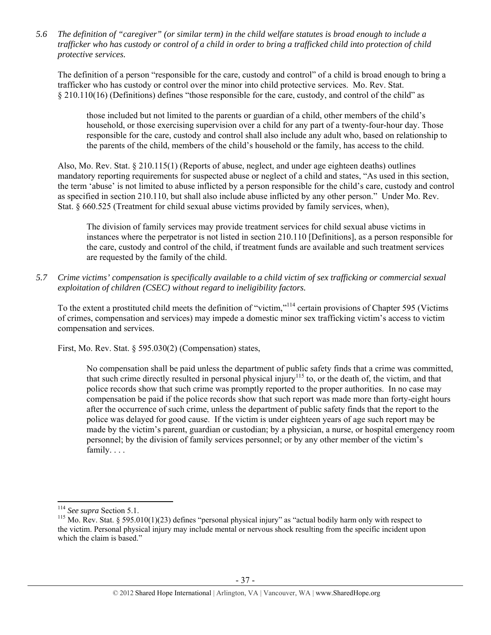*5.6 The definition of "caregiver" (or similar term) in the child welfare statutes is broad enough to include a trafficker who has custody or control of a child in order to bring a trafficked child into protection of child protective services.* 

The definition of a person "responsible for the care, custody and control" of a child is broad enough to bring a trafficker who has custody or control over the minor into child protective services. Mo. Rev. Stat. § 210.110(16) (Definitions) defines "those responsible for the care, custody, and control of the child" as

those included but not limited to the parents or guardian of a child, other members of the child's household, or those exercising supervision over a child for any part of a twenty-four-hour day. Those responsible for the care, custody and control shall also include any adult who, based on relationship to the parents of the child, members of the child's household or the family, has access to the child.

Also, Mo. Rev. Stat. § 210.115(1) (Reports of abuse, neglect, and under age eighteen deaths) outlines mandatory reporting requirements for suspected abuse or neglect of a child and states, "As used in this section, the term 'abuse' is not limited to abuse inflicted by a person responsible for the child's care, custody and control as specified in section 210.110, but shall also include abuse inflicted by any other person." Under Mo. Rev. Stat. § 660.525 (Treatment for child sexual abuse victims provided by family services, when),

The division of family services may provide treatment services for child sexual abuse victims in instances where the perpetrator is not listed in section 210.110 [Definitions], as a person responsible for the care, custody and control of the child, if treatment funds are available and such treatment services are requested by the family of the child.

*5.7 Crime victims' compensation is specifically available to a child victim of sex trafficking or commercial sexual exploitation of children (CSEC) without regard to ineligibility factors.* 

To the extent a prostituted child meets the definition of "victim,"114 certain provisions of Chapter 595 (Victims of crimes, compensation and services) may impede a domestic minor sex trafficking victim's access to victim compensation and services.

First, Mo. Rev. Stat. § 595.030(2) (Compensation) states,

No compensation shall be paid unless the department of public safety finds that a crime was committed, that such crime directly resulted in personal physical injury<sup>115</sup> to, or the death of, the victim, and that police records show that such crime was promptly reported to the proper authorities. In no case may compensation be paid if the police records show that such report was made more than forty-eight hours after the occurrence of such crime, unless the department of public safety finds that the report to the police was delayed for good cause. If the victim is under eighteen years of age such report may be made by the victim's parent, guardian or custodian; by a physician, a nurse, or hospital emergency room personnel; by the division of family services personnel; or by any other member of the victim's family. . . .

<sup>&</sup>lt;sup>114</sup> See supra Section 5.1.<br><sup>115</sup> Mo. Rev. Stat. § 595.010(1)(23) defines "personal physical injury" as "actual bodily harm only with respect to the victim. Personal physical injury may include mental or nervous shock resulting from the specific incident upon which the claim is based."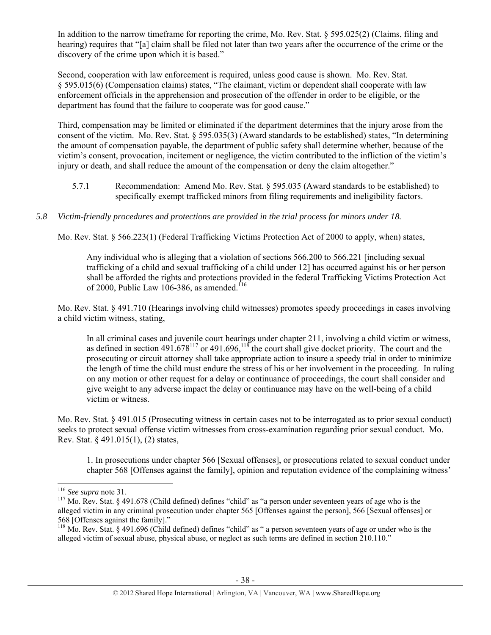In addition to the narrow timeframe for reporting the crime, Mo. Rev. Stat. § 595.025(2) (Claims, filing and hearing) requires that "[a] claim shall be filed not later than two years after the occurrence of the crime or the discovery of the crime upon which it is based."

Second, cooperation with law enforcement is required, unless good cause is shown. Mo. Rev. Stat. § 595.015(6) (Compensation claims) states, "The claimant, victim or dependent shall cooperate with law enforcement officials in the apprehension and prosecution of the offender in order to be eligible, or the department has found that the failure to cooperate was for good cause."

Third, compensation may be limited or eliminated if the department determines that the injury arose from the consent of the victim. Mo. Rev. Stat. § 595.035(3) (Award standards to be established) states, "In determining the amount of compensation payable, the department of public safety shall determine whether, because of the victim's consent, provocation, incitement or negligence, the victim contributed to the infliction of the victim's injury or death, and shall reduce the amount of the compensation or deny the claim altogether."

- 5.7.1 Recommendation: Amend Mo. Rev. Stat. § 595.035 (Award standards to be established) to specifically exempt trafficked minors from filing requirements and ineligibility factors.
- *5.8 Victim-friendly procedures and protections are provided in the trial process for minors under 18.*

Mo. Rev. Stat. § 566.223(1) (Federal Trafficking Victims Protection Act of 2000 to apply, when) states,

Any individual who is alleging that a violation of sections 566.200 to 566.221 [including sexual trafficking of a child and sexual trafficking of a child under 12] has occurred against his or her person shall be afforded the rights and protections provided in the federal Trafficking Victims Protection Act of 2000, Public Law 106-386, as amended.<sup>116</sup>

Mo. Rev. Stat. § 491.710 (Hearings involving child witnesses) promotes speedy proceedings in cases involving a child victim witness, stating,

In all criminal cases and juvenile court hearings under chapter 211, involving a child victim or witness, as defined in section  $491.678^{117}$  or  $491.696$ ,  $118$  the court shall give docket priority. The court and the prosecuting or circuit attorney shall take appropriate action to insure a speedy trial in order to minimize the length of time the child must endure the stress of his or her involvement in the proceeding. In ruling on any motion or other request for a delay or continuance of proceedings, the court shall consider and give weight to any adverse impact the delay or continuance may have on the well-being of a child victim or witness.

Mo. Rev. Stat. § 491.015 (Prosecuting witness in certain cases not to be interrogated as to prior sexual conduct) seeks to protect sexual offense victim witnesses from cross-examination regarding prior sexual conduct. Mo. Rev. Stat. § 491.015(1), (2) states,

1. In prosecutions under chapter 566 [Sexual offenses], or prosecutions related to sexual conduct under chapter 568 [Offenses against the family], opinion and reputation evidence of the complaining witness'

<sup>&</sup>lt;sup>116</sup> *See supra* note 31.<br><sup>117</sup> Mo. Rev. Stat. § 491.678 (Child defined) defines "child" as "a person under seventeen years of age who is the alleged victim in any criminal prosecution under chapter 565 [Offenses against the person], 566 [Sexual offenses] or 568 [Offenses against the family]."

 $118$  Mo. Rev. Stat. § 491.696 (Child defined) defines "child" as " a person seventeen years of age or under who is the alleged victim of sexual abuse, physical abuse, or neglect as such terms are defined in section 210.110."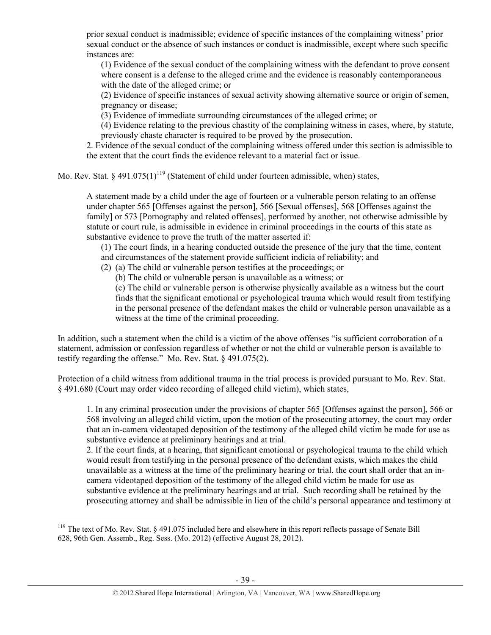prior sexual conduct is inadmissible; evidence of specific instances of the complaining witness' prior sexual conduct or the absence of such instances or conduct is inadmissible, except where such specific instances are:

(1) Evidence of the sexual conduct of the complaining witness with the defendant to prove consent where consent is a defense to the alleged crime and the evidence is reasonably contemporaneous with the date of the alleged crime; or

(2) Evidence of specific instances of sexual activity showing alternative source or origin of semen, pregnancy or disease;

(3) Evidence of immediate surrounding circumstances of the alleged crime; or

(4) Evidence relating to the previous chastity of the complaining witness in cases, where, by statute, previously chaste character is required to be proved by the prosecution.

2. Evidence of the sexual conduct of the complaining witness offered under this section is admissible to the extent that the court finds the evidence relevant to a material fact or issue.

Mo. Rev. Stat. § 491.075(1)<sup>119</sup> (Statement of child under fourteen admissible, when) states,

A statement made by a child under the age of fourteen or a vulnerable person relating to an offense under chapter 565 [Offenses against the person], 566 [Sexual offenses], 568 [Offenses against the family] or 573 [Pornography and related offenses], performed by another, not otherwise admissible by statute or court rule, is admissible in evidence in criminal proceedings in the courts of this state as substantive evidence to prove the truth of the matter asserted if:

(1) The court finds, in a hearing conducted outside the presence of the jury that the time, content and circumstances of the statement provide sufficient indicia of reliability; and

- (2) (a) The child or vulnerable person testifies at the proceedings; or
	- (b) The child or vulnerable person is unavailable as a witness; or

(c) The child or vulnerable person is otherwise physically available as a witness but the court finds that the significant emotional or psychological trauma which would result from testifying in the personal presence of the defendant makes the child or vulnerable person unavailable as a witness at the time of the criminal proceeding.

In addition, such a statement when the child is a victim of the above offenses "is sufficient corroboration of a statement, admission or confession regardless of whether or not the child or vulnerable person is available to testify regarding the offense." Mo. Rev. Stat. § 491.075(2).

Protection of a child witness from additional trauma in the trial process is provided pursuant to Mo. Rev. Stat. § 491.680 (Court may order video recording of alleged child victim), which states,

1. In any criminal prosecution under the provisions of chapter 565 [Offenses against the person], 566 or 568 involving an alleged child victim, upon the motion of the prosecuting attorney, the court may order that an in-camera videotaped deposition of the testimony of the alleged child victim be made for use as substantive evidence at preliminary hearings and at trial.

2. If the court finds, at a hearing, that significant emotional or psychological trauma to the child which would result from testifying in the personal presence of the defendant exists, which makes the child unavailable as a witness at the time of the preliminary hearing or trial, the court shall order that an incamera videotaped deposition of the testimony of the alleged child victim be made for use as substantive evidence at the preliminary hearings and at trial. Such recording shall be retained by the prosecuting attorney and shall be admissible in lieu of the child's personal appearance and testimony at

<sup>&</sup>lt;sup>119</sup> The text of Mo. Rev. Stat. § 491.075 included here and elsewhere in this report reflects passage of Senate Bill 628, 96th Gen. Assemb., Reg. Sess. (Mo. 2012) (effective August 28, 2012).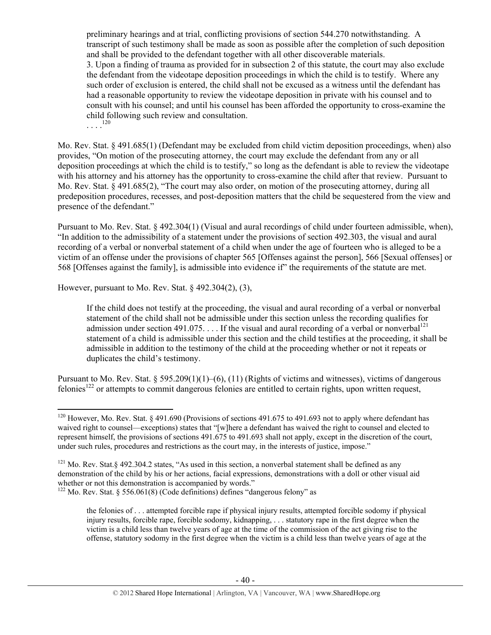preliminary hearings and at trial, conflicting provisions of section 544.270 notwithstanding. A transcript of such testimony shall be made as soon as possible after the completion of such deposition and shall be provided to the defendant together with all other discoverable materials. 3. Upon a finding of trauma as provided for in subsection 2 of this statute, the court may also exclude the defendant from the videotape deposition proceedings in which the child is to testify. Where any such order of exclusion is entered, the child shall not be excused as a witness until the defendant has had a reasonable opportunity to review the videotape deposition in private with his counsel and to consult with his counsel; and until his counsel has been afforded the opportunity to cross-examine the child following such review and consultation.  $\frac{120}{120}$ 

Mo. Rev. Stat. § 491.685(1) (Defendant may be excluded from child victim deposition proceedings, when) also provides, "On motion of the prosecuting attorney, the court may exclude the defendant from any or all deposition proceedings at which the child is to testify," so long as the defendant is able to review the videotape with his attorney and his attorney has the opportunity to cross-examine the child after that review. Pursuant to Mo. Rev. Stat. § 491.685(2), "The court may also order, on motion of the prosecuting attorney, during all predeposition procedures, recesses, and post-deposition matters that the child be sequestered from the view and presence of the defendant."

Pursuant to Mo. Rev. Stat. § 492.304(1) (Visual and aural recordings of child under fourteen admissible, when), "In addition to the admissibility of a statement under the provisions of section 492.303, the visual and aural recording of a verbal or nonverbal statement of a child when under the age of fourteen who is alleged to be a victim of an offense under the provisions of chapter 565 [Offenses against the person], 566 [Sexual offenses] or 568 [Offenses against the family], is admissible into evidence if" the requirements of the statute are met.

However, pursuant to Mo. Rev. Stat. § 492.304(2), (3),

If the child does not testify at the proceeding, the visual and aural recording of a verbal or nonverbal statement of the child shall not be admissible under this section unless the recording qualifies for admission under section 491.075. . . . If the visual and aural recording of a verbal or nonverbal<sup>121</sup> statement of a child is admissible under this section and the child testifies at the proceeding, it shall be admissible in addition to the testimony of the child at the proceeding whether or not it repeats or duplicates the child's testimony.

Pursuant to Mo. Rev. Stat. § 595.209(1)(1)–(6), (11) (Rights of victims and witnesses), victims of dangerous felonies<sup>122</sup> or attempts to commit dangerous felonies are entitled to certain rights, upon written request,

 <sup>120</sup> However, Mo. Rev. Stat. § 491.690 (Provisions of sections 491.675 to 491.693 not to apply where defendant has waived right to counsel—exceptions) states that "[w]here a defendant has waived the right to counsel and elected to represent himself, the provisions of sections 491.675 to 491.693 shall not apply, except in the discretion of the court, under such rules, procedures and restrictions as the court may, in the interests of justice, impose."

<sup>&</sup>lt;sup>121</sup> Mo. Rev. Stat. § 492.304.2 states, "As used in this section, a nonverbal statement shall be defined as any demonstration of the child by his or her actions, facial expressions, demonstrations with a doll or other visual aid whether or not this demonstration is accompanied by words."

 $122$  Mo. Rev. Stat. § 556.061(8) (Code definitions) defines "dangerous felony" as

the felonies of . . . attempted forcible rape if physical injury results, attempted forcible sodomy if physical injury results, forcible rape, forcible sodomy, kidnapping, . . . statutory rape in the first degree when the victim is a child less than twelve years of age at the time of the commission of the act giving rise to the offense, statutory sodomy in the first degree when the victim is a child less than twelve years of age at the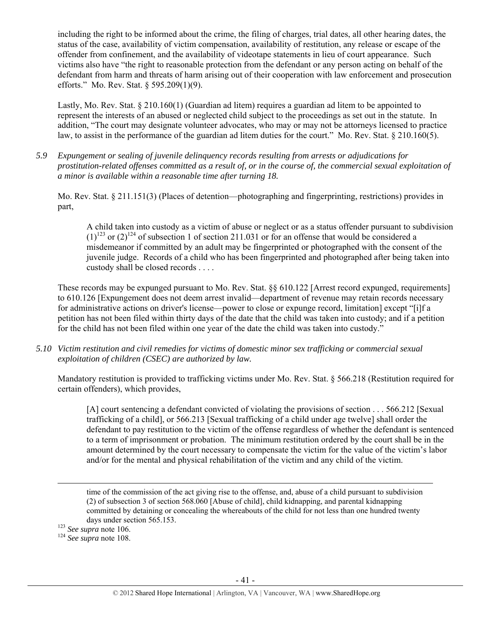including the right to be informed about the crime, the filing of charges, trial dates, all other hearing dates, the status of the case, availability of victim compensation, availability of restitution, any release or escape of the offender from confinement, and the availability of videotape statements in lieu of court appearance. Such victims also have "the right to reasonable protection from the defendant or any person acting on behalf of the defendant from harm and threats of harm arising out of their cooperation with law enforcement and prosecution efforts." Mo. Rev. Stat. § 595.209(1)(9).

Lastly, Mo. Rev. Stat. § 210.160(1) (Guardian ad litem) requires a guardian ad litem to be appointed to represent the interests of an abused or neglected child subject to the proceedings as set out in the statute. In addition, "The court may designate volunteer advocates, who may or may not be attorneys licensed to practice law, to assist in the performance of the guardian ad litem duties for the court." Mo. Rev. Stat. § 210.160(5).

*5.9 Expungement or sealing of juvenile delinquency records resulting from arrests or adjudications for prostitution-related offenses committed as a result of, or in the course of, the commercial sexual exploitation of a minor is available within a reasonable time after turning 18.* 

Mo. Rev. Stat. § 211.151(3) (Places of detention—photographing and fingerprinting, restrictions) provides in part,

A child taken into custody as a victim of abuse or neglect or as a status offender pursuant to subdivision  $(1)^{123}$  or  $(2)^{124}$  of subsection 1 of section 211.031 or for an offense that would be considered a misdemeanor if committed by an adult may be fingerprinted or photographed with the consent of the juvenile judge. Records of a child who has been fingerprinted and photographed after being taken into custody shall be closed records . . . .

These records may be expunged pursuant to Mo. Rev. Stat. §§ 610.122 [Arrest record expunged, requirements] to 610.126 [Expungement does not deem arrest invalid—department of revenue may retain records necessary for administrative actions on driver's license—power to close or expunge record, limitation] except "[i]f a petition has not been filed within thirty days of the date that the child was taken into custody; and if a petition for the child has not been filed within one year of the date the child was taken into custody."

*5.10 Victim restitution and civil remedies for victims of domestic minor sex trafficking or commercial sexual exploitation of children (CSEC) are authorized by law.* 

Mandatory restitution is provided to trafficking victims under Mo. Rev. Stat. § 566.218 (Restitution required for certain offenders), which provides,

[A] court sentencing a defendant convicted of violating the provisions of section . . . 566.212 [Sexual trafficking of a child], or 566.213 [Sexual trafficking of a child under age twelve] shall order the defendant to pay restitution to the victim of the offense regardless of whether the defendant is sentenced to a term of imprisonment or probation. The minimum restitution ordered by the court shall be in the amount determined by the court necessary to compensate the victim for the value of the victim's labor and/or for the mental and physical rehabilitation of the victim and any child of the victim.

<u> 1989 - Johann Stein, marwolaethau a gweledydd a ganlad y ganlad y ganlad y ganlad y ganlad y ganlad y ganlad</u> time of the commission of the act giving rise to the offense, and, abuse of a child pursuant to subdivision (2) of subsection 3 of section 568.060 [Abuse of child], child kidnapping, and parental kidnapping committed by detaining or concealing the whereabouts of the child for not less than one hundred twenty days under section 565.153. 123 *See supra* note 106. 124 *See supra* note 108.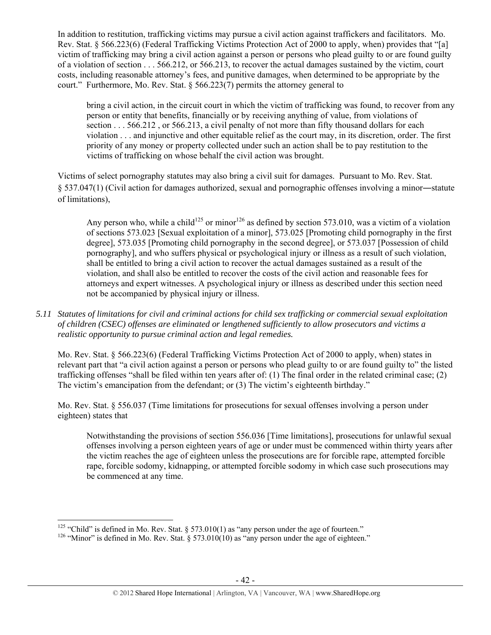In addition to restitution, trafficking victims may pursue a civil action against traffickers and facilitators. Mo. Rev. Stat. § 566.223(6) (Federal Trafficking Victims Protection Act of 2000 to apply, when) provides that "[a] victim of trafficking may bring a civil action against a person or persons who plead guilty to or are found guilty of a violation of section . . . 566.212, or 566.213, to recover the actual damages sustained by the victim, court costs, including reasonable attorney's fees, and punitive damages, when determined to be appropriate by the court." Furthermore, Mo. Rev. Stat. § 566.223(7) permits the attorney general to

bring a civil action, in the circuit court in which the victim of trafficking was found, to recover from any person or entity that benefits, financially or by receiving anything of value, from violations of section . . . 566.212 , or 566.213, a civil penalty of not more than fifty thousand dollars for each violation . . . and injunctive and other equitable relief as the court may, in its discretion, order. The first priority of any money or property collected under such an action shall be to pay restitution to the victims of trafficking on whose behalf the civil action was brought.

Victims of select pornography statutes may also bring a civil suit for damages. Pursuant to Mo. Rev. Stat. § 537.047(1) (Civil action for damages authorized, sexual and pornographic offenses involving a minor―statute of limitations),

Any person who, while a child<sup>125</sup> or minor<sup>126</sup> as defined by section 573.010, was a victim of a violation of sections 573.023 [Sexual exploitation of a minor], 573.025 [Promoting child pornography in the first degree], 573.035 [Promoting child pornography in the second degree], or 573.037 [Possession of child pornography], and who suffers physical or psychological injury or illness as a result of such violation, shall be entitled to bring a civil action to recover the actual damages sustained as a result of the violation, and shall also be entitled to recover the costs of the civil action and reasonable fees for attorneys and expert witnesses. A psychological injury or illness as described under this section need not be accompanied by physical injury or illness.

*5.11 Statutes of limitations for civil and criminal actions for child sex trafficking or commercial sexual exploitation of children (CSEC) offenses are eliminated or lengthened sufficiently to allow prosecutors and victims a realistic opportunity to pursue criminal action and legal remedies.* 

Mo. Rev. Stat. § 566.223(6) (Federal Trafficking Victims Protection Act of 2000 to apply, when) states in relevant part that "a civil action against a person or persons who plead guilty to or are found guilty to" the listed trafficking offenses "shall be filed within ten years after of: (1) The final order in the related criminal case; (2) The victim's emancipation from the defendant; or (3) The victim's eighteenth birthday."

Mo. Rev. Stat. § 556.037 (Time limitations for prosecutions for sexual offenses involving a person under eighteen) states that

Notwithstanding the provisions of section 556.036 [Time limitations], prosecutions for unlawful sexual offenses involving a person eighteen years of age or under must be commenced within thirty years after the victim reaches the age of eighteen unless the prosecutions are for forcible rape, attempted forcible rape, forcible sodomy, kidnapping, or attempted forcible sodomy in which case such prosecutions may be commenced at any time.

<sup>&</sup>lt;sup>125</sup> "Child" is defined in Mo. Rev. Stat. § 573.010(1) as "any person under the age of fourteen."

<sup>&</sup>lt;sup>126</sup> "Minor" is defined in Mo. Rev. Stat. § 573.010(10) as "any person under the age of eighteen."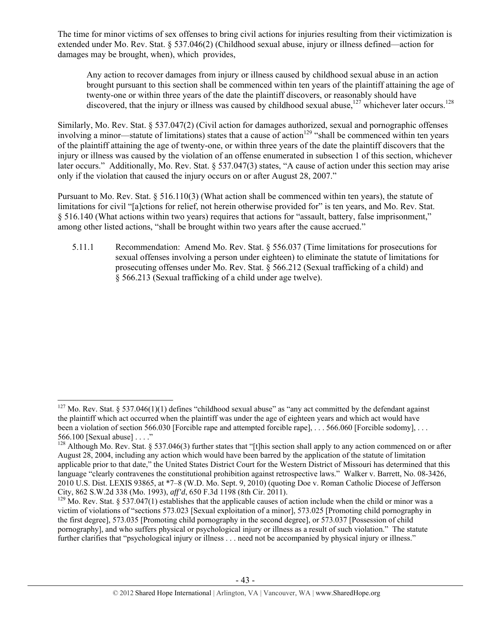The time for minor victims of sex offenses to bring civil actions for injuries resulting from their victimization is extended under Mo. Rev. Stat. § 537.046(2) (Childhood sexual abuse, injury or illness defined—action for damages may be brought, when), which provides,

Any action to recover damages from injury or illness caused by childhood sexual abuse in an action brought pursuant to this section shall be commenced within ten years of the plaintiff attaining the age of twenty-one or within three years of the date the plaintiff discovers, or reasonably should have discovered, that the injury or illness was caused by childhood sexual abuse,<sup>127</sup> whichever later occurs.<sup>128</sup>

Similarly, Mo. Rev. Stat. § 537.047(2) (Civil action for damages authorized, sexual and pornographic offenses involving a minor—statute of limitations) states that a cause of action<sup>129</sup> "shall be commenced within ten years of the plaintiff attaining the age of twenty-one, or within three years of the date the plaintiff discovers that the injury or illness was caused by the violation of an offense enumerated in subsection 1 of this section, whichever later occurs." Additionally, Mo. Rev. Stat. § 537.047(3) states, "A cause of action under this section may arise only if the violation that caused the injury occurs on or after August 28, 2007."

Pursuant to Mo. Rev. Stat. § 516.110(3) (What action shall be commenced within ten years), the statute of limitations for civil "[a]ctions for relief, not herein otherwise provided for" is ten years, and Mo. Rev. Stat. § 516.140 (What actions within two years) requires that actions for "assault, battery, false imprisonment," among other listed actions, "shall be brought within two years after the cause accrued."

5.11.1 Recommendation: Amend Mo. Rev. Stat. § 556.037 (Time limitations for prosecutions for sexual offenses involving a person under eighteen) to eliminate the statute of limitations for prosecuting offenses under Mo. Rev. Stat. § 566.212 (Sexual trafficking of a child) and § 566.213 (Sexual trafficking of a child under age twelve).

<sup>&</sup>lt;sup>127</sup> Mo. Rev. Stat. § 537.046(1)(1) defines "childhood sexual abuse" as "any act committed by the defendant against the plaintiff which act occurred when the plaintiff was under the age of eighteen years and which act would have been a violation of section 566.030 [Forcible rape and attempted forcible rape], . . . 566.060 [Forcible sodomy], . . . 566.100 [Sexual abuse] . . . ."

 $128$  Although Mo. Rev. Stat. § 537.046(3) further states that "[t]his section shall apply to any action commenced on or after August 28, 2004, including any action which would have been barred by the application of the statute of limitation applicable prior to that date," the United States District Court for the Western District of Missouri has determined that this language "clearly contravenes the constitutional prohibition against retrospective laws." Walker v. Barrett, No. 08-3426, 2010 U.S. Dist. LEXIS 93865, at \*7–8 (W.D. Mo. Sept. 9, 2010) (quoting Doe v. Roman Catholic Diocese of Jefferson City, 862 S.W.2d 338 (Mo. 1993), aff'd, 650 F.3d 1198 (8th Cir. 2011).

<sup>&</sup>lt;sup>129</sup> Mo. Rev. Stat. § 537.047(1) establishes that the applicable causes of action include when the child or minor was a victim of violations of "sections 573.023 [Sexual exploitation of a minor], 573.025 [Promoting child pornography in the first degree], 573.035 [Promoting child pornography in the second degree], or 573.037 [Possession of child pornography], and who suffers physical or psychological injury or illness as a result of such violation." The statute further clarifies that "psychological injury or illness . . . need not be accompanied by physical injury or illness."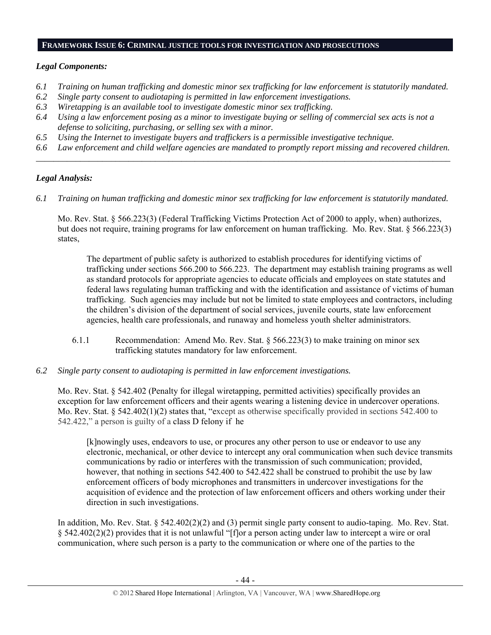### **FRAMEWORK ISSUE 6: CRIMINAL JUSTICE TOOLS FOR INVESTIGATION AND PROSECUTIONS**

# *Legal Components:*

- *6.1 Training on human trafficking and domestic minor sex trafficking for law enforcement is statutorily mandated.*
- *6.2 Single party consent to audiotaping is permitted in law enforcement investigations.*
- *6.3 Wiretapping is an available tool to investigate domestic minor sex trafficking.*
- *6.4 Using a law enforcement posing as a minor to investigate buying or selling of commercial sex acts is not a defense to soliciting, purchasing, or selling sex with a minor.*
- *6.5 Using the Internet to investigate buyers and traffickers is a permissible investigative technique.*
- *6.6 Law enforcement and child welfare agencies are mandated to promptly report missing and recovered children. \_\_\_\_\_\_\_\_\_\_\_\_\_\_\_\_\_\_\_\_\_\_\_\_\_\_\_\_\_\_\_\_\_\_\_\_\_\_\_\_\_\_\_\_\_\_\_\_\_\_\_\_\_\_\_\_\_\_\_\_\_\_\_\_\_\_\_\_\_\_\_\_\_\_\_\_\_\_\_\_\_\_\_\_\_\_\_\_\_\_\_\_\_\_*

# *Legal Analysis:*

*6.1 Training on human trafficking and domestic minor sex trafficking for law enforcement is statutorily mandated.*

Mo. Rev. Stat. § 566.223(3) (Federal Trafficking Victims Protection Act of 2000 to apply, when) authorizes, but does not require, training programs for law enforcement on human trafficking. Mo. Rev. Stat. § 566.223(3) states,

The department of public safety is authorized to establish procedures for identifying victims of trafficking under sections 566.200 to 566.223. The department may establish training programs as well as standard protocols for appropriate agencies to educate officials and employees on state statutes and federal laws regulating human trafficking and with the identification and assistance of victims of human trafficking. Such agencies may include but not be limited to state employees and contractors, including the children's division of the department of social services, juvenile courts, state law enforcement agencies, health care professionals, and runaway and homeless youth shelter administrators.

- 6.1.1 Recommendation: Amend Mo. Rev. Stat. § 566.223(3) to make training on minor sex trafficking statutes mandatory for law enforcement.
- *6.2 Single party consent to audiotaping is permitted in law enforcement investigations.*

Mo. Rev. Stat. § 542.402 (Penalty for illegal wiretapping, permitted activities) specifically provides an exception for law enforcement officers and their agents wearing a listening device in undercover operations. Mo. Rev. Stat. § 542.402(1)(2) states that, "except as otherwise specifically provided in sections 542.400 to 542.422," a person is guilty of a class D felony if he

[k]nowingly uses, endeavors to use, or procures any other person to use or endeavor to use any electronic, mechanical, or other device to intercept any oral communication when such device transmits communications by radio or interferes with the transmission of such communication; provided, however, that nothing in sections 542.400 to 542.422 shall be construed to prohibit the use by law enforcement officers of body microphones and transmitters in undercover investigations for the acquisition of evidence and the protection of law enforcement officers and others working under their direction in such investigations.

In addition, Mo. Rev. Stat. § 542.402(2)(2) and (3) permit single party consent to audio-taping. Mo. Rev. Stat. § 542.402(2)(2) provides that it is not unlawful "[f]or a person acting under law to intercept a wire or oral communication, where such person is a party to the communication or where one of the parties to the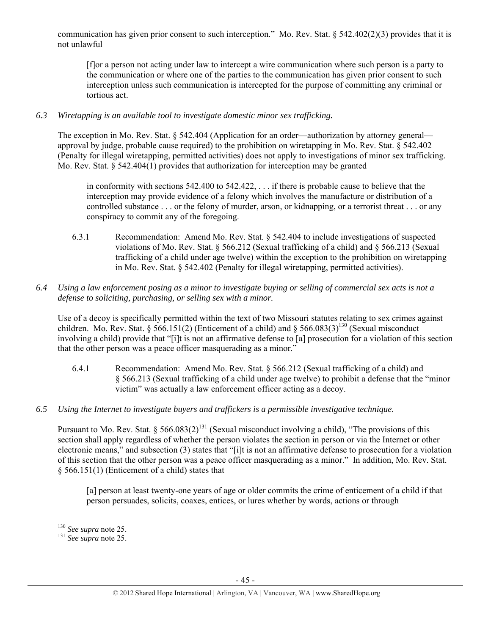communication has given prior consent to such interception." Mo. Rev. Stat. § 542.402(2)(3) provides that it is not unlawful

[f]or a person not acting under law to intercept a wire communication where such person is a party to the communication or where one of the parties to the communication has given prior consent to such interception unless such communication is intercepted for the purpose of committing any criminal or tortious act.

# *6.3 Wiretapping is an available tool to investigate domestic minor sex trafficking.*

The exception in Mo. Rev. Stat. § 542.404 (Application for an order—authorization by attorney general approval by judge, probable cause required) to the prohibition on wiretapping in Mo. Rev. Stat. § 542.402 (Penalty for illegal wiretapping, permitted activities) does not apply to investigations of minor sex trafficking. Mo. Rev. Stat. § 542.404(1) provides that authorization for interception may be granted

in conformity with sections 542.400 to 542.422, . . . if there is probable cause to believe that the interception may provide evidence of a felony which involves the manufacture or distribution of a controlled substance . . . or the felony of murder, arson, or kidnapping, or a terrorist threat . . . or any conspiracy to commit any of the foregoing.

6.3.1 Recommendation: Amend Mo. Rev. Stat. § 542.404 to include investigations of suspected violations of Mo. Rev. Stat. § 566.212 (Sexual trafficking of a child) and § 566.213 (Sexual trafficking of a child under age twelve) within the exception to the prohibition on wiretapping in Mo. Rev. Stat. § 542.402 (Penalty for illegal wiretapping, permitted activities).

## *6.4 Using a law enforcement posing as a minor to investigate buying or selling of commercial sex acts is not a defense to soliciting, purchasing, or selling sex with a minor.*

Use of a decoy is specifically permitted within the text of two Missouri statutes relating to sex crimes against children. Mo. Rev. Stat. § 566.151(2) (Enticement of a child) and § 566.083(3)<sup>130</sup> (Sexual misconduct involving a child) provide that "[i]t is not an affirmative defense to [a] prosecution for a violation of this section that the other person was a peace officer masquerading as a minor."

- 6.4.1 Recommendation: Amend Mo. Rev. Stat. § 566.212 (Sexual trafficking of a child) and § 566.213 (Sexual trafficking of a child under age twelve) to prohibit a defense that the "minor victim" was actually a law enforcement officer acting as a decoy.
- *6.5 Using the Internet to investigate buyers and traffickers is a permissible investigative technique.*

Pursuant to Mo. Rev. Stat. § 566.083(2)<sup>131</sup> (Sexual misconduct involving a child), "The provisions of this section shall apply regardless of whether the person violates the section in person or via the Internet or other electronic means," and subsection (3) states that "[i]t is not an affirmative defense to prosecution for a violation of this section that the other person was a peace officer masquerading as a minor." In addition, Mo. Rev. Stat. § 566.151(1) (Enticement of a child) states that

[a] person at least twenty-one years of age or older commits the crime of enticement of a child if that person persuades, solicits, coaxes, entices, or lures whether by words, actions or through

 $130$  See supra note 25.

<sup>&</sup>lt;sup>131</sup> See supra note 25.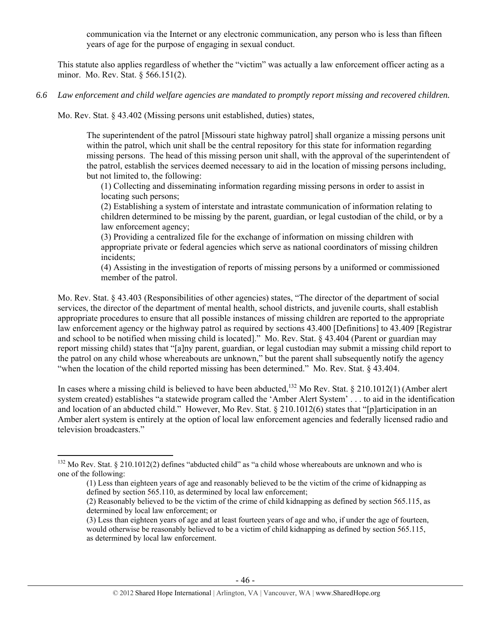communication via the Internet or any electronic communication, any person who is less than fifteen years of age for the purpose of engaging in sexual conduct.

This statute also applies regardless of whether the "victim" was actually a law enforcement officer acting as a minor. Mo. Rev. Stat. § 566.151(2).

*6.6 Law enforcement and child welfare agencies are mandated to promptly report missing and recovered children.* 

Mo. Rev. Stat. § 43.402 (Missing persons unit established, duties) states,

The superintendent of the patrol [Missouri state highway patrol] shall organize a missing persons unit within the patrol, which unit shall be the central repository for this state for information regarding missing persons. The head of this missing person unit shall, with the approval of the superintendent of the patrol, establish the services deemed necessary to aid in the location of missing persons including, but not limited to, the following:

(1) Collecting and disseminating information regarding missing persons in order to assist in locating such persons;

(2) Establishing a system of interstate and intrastate communication of information relating to children determined to be missing by the parent, guardian, or legal custodian of the child, or by a law enforcement agency;

(3) Providing a centralized file for the exchange of information on missing children with appropriate private or federal agencies which serve as national coordinators of missing children incidents;

(4) Assisting in the investigation of reports of missing persons by a uniformed or commissioned member of the patrol.

Mo. Rev. Stat. § 43.403 (Responsibilities of other agencies) states, "The director of the department of social services, the director of the department of mental health, school districts, and juvenile courts, shall establish appropriate procedures to ensure that all possible instances of missing children are reported to the appropriate law enforcement agency or the highway patrol as required by sections 43.400 [Definitions] to 43.409 [Registrar and school to be notified when missing child is located]." Mo. Rev. Stat. § 43.404 (Parent or guardian may report missing child) states that "[a]ny parent, guardian, or legal custodian may submit a missing child report to the patrol on any child whose whereabouts are unknown," but the parent shall subsequently notify the agency "when the location of the child reported missing has been determined." Mo. Rev. Stat. § 43.404.

In cases where a missing child is believed to have been abducted,<sup>132</sup> Mo Rev. Stat. § 210.1012(1) (Amber alert system created) establishes "a statewide program called the 'Amber Alert System' . . . to aid in the identification and location of an abducted child." However, Mo Rev. Stat. § 210.1012(6) states that "[p]articipation in an Amber alert system is entirely at the option of local law enforcement agencies and federally licensed radio and television broadcasters."

 $132$  Mo Rev. Stat. § 210.1012(2) defines "abducted child" as "a child whose whereabouts are unknown and who is one of the following:

<sup>(1)</sup> Less than eighteen years of age and reasonably believed to be the victim of the crime of kidnapping as defined by section 565.110, as determined by local law enforcement;

<sup>(2)</sup> Reasonably believed to be the victim of the crime of child kidnapping as defined by section 565.115, as determined by local law enforcement; or

<sup>(3)</sup> Less than eighteen years of age and at least fourteen years of age and who, if under the age of fourteen, would otherwise be reasonably believed to be a victim of child kidnapping as defined by section 565.115, as determined by local law enforcement.